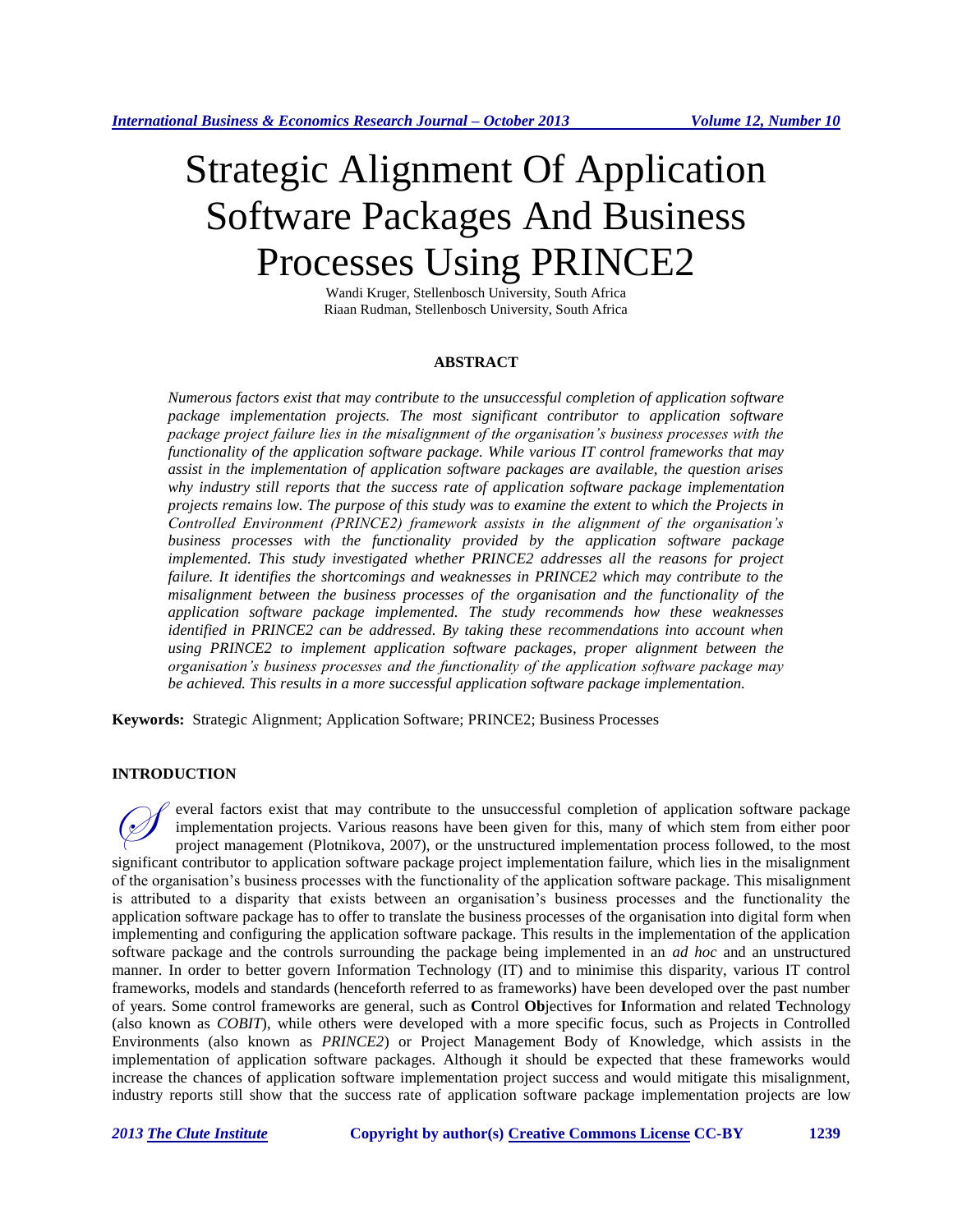# Strategic Alignment Of Application Software Packages And Business Processes Using PRINCE2

Wandi Kruger, Stellenbosch University, South Africa Riaan Rudman, Stellenbosch University, South Africa

# **ABSTRACT**

*Numerous factors exist that may contribute to the unsuccessful completion of application software package implementation projects. The most significant contributor to application software package project failure lies in the misalignment of the organisation's business processes with the functionality of the application software package. While various IT control frameworks that may assist in the implementation of application software packages are available, the question arises why industry still reports that the success rate of application software package implementation projects remains low. The purpose of this study was to examine the extent to which the Projects in Controlled Environment (PRINCE2) framework assists in the alignment of the organisation's business processes with the functionality provided by the application software package implemented. This study investigated whether PRINCE2 addresses all the reasons for project failure. It identifies the shortcomings and weaknesses in PRINCE2 which may contribute to the misalignment between the business processes of the organisation and the functionality of the application software package implemented. The study recommends how these weaknesses identified in PRINCE2 can be addressed. By taking these recommendations into account when using PRINCE2 to implement application software packages, proper alignment between the organisation's business processes and the functionality of the application software package may be achieved. This results in a more successful application software package implementation.*

**Keywords:** Strategic Alignment; Application Software; PRINCE2; Business Processes

## **INTRODUCTION**

everal factors exist that may contribute to the unsuccessful completion of application software package implementation projects. Various reasons have been given for this, many of which stem from either poor project management (Plotnikova, 2007), or the unstructured implementation process followed, to the most significant contributor to application software package project implementation failure, which lies in the misalignment of the organisation's business processes with the functionality of the application software package. This misalignment is attributed to a disparity that exists between an organisation's business processes and the functionality the application software package has to offer to translate the business processes of the organisation into digital form when implementing and configuring the application software package. This results in the implementation of the application software package and the controls surrounding the package being implemented in an *ad hoc* and an unstructured manner. In order to better govern Information Technology (IT) and to minimise this disparity, various IT control frameworks, models and standards (henceforth referred to as frameworks) have been developed over the past number of years. Some control frameworks are general, such as **C**ontrol **Ob**jectives for **I**nformation and related **T**echnology (also known as *COBIT*), while others were developed with a more specific focus, such as Projects in Controlled Environments (also known as *PRINCE2*) or Project Management Body of Knowledge, which assists in the implementation of application software packages. Although it should be expected that these frameworks would increase the chances of application software implementation project success and would mitigate this misalignment, industry reports still show that the success rate of application software package implementation projects are low  $\oslash$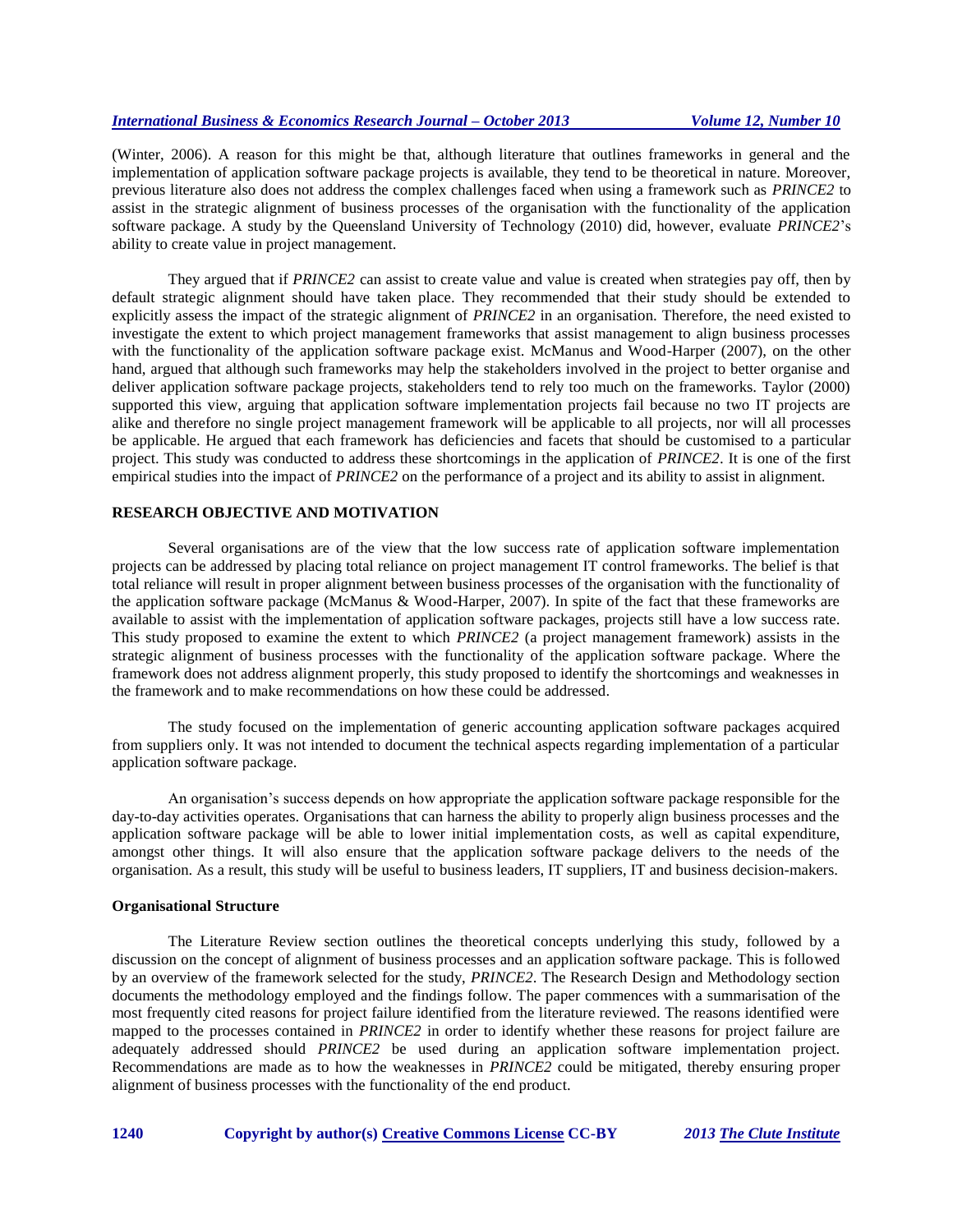(Winter, 2006). A reason for this might be that, although literature that outlines frameworks in general and the implementation of application software package projects is available, they tend to be theoretical in nature. Moreover, previous literature also does not address the complex challenges faced when using a framework such as *PRINCE2* to assist in the strategic alignment of business processes of the organisation with the functionality of the application software package. A study by the Queensland University of Technology (2010) did, however, evaluate *PRINCE2*'s ability to create value in project management.

They argued that if *PRINCE2* can assist to create value and value is created when strategies pay off, then by default strategic alignment should have taken place. They recommended that their study should be extended to explicitly assess the impact of the strategic alignment of *PRINCE2* in an organisation. Therefore, the need existed to investigate the extent to which project management frameworks that assist management to align business processes with the functionality of the application software package exist. McManus and Wood-Harper (2007), on the other hand, argued that although such frameworks may help the stakeholders involved in the project to better organise and deliver application software package projects, stakeholders tend to rely too much on the frameworks. Taylor (2000) supported this view, arguing that application software implementation projects fail because no two IT projects are alike and therefore no single project management framework will be applicable to all projects, nor will all processes be applicable. He argued that each framework has deficiencies and facets that should be customised to a particular project. This study was conducted to address these shortcomings in the application of *PRINCE2*. It is one of the first empirical studies into the impact of *PRINCE2* on the performance of a project and its ability to assist in alignment.

# **RESEARCH OBJECTIVE AND MOTIVATION**

Several organisations are of the view that the low success rate of application software implementation projects can be addressed by placing total reliance on project management IT control frameworks. The belief is that total reliance will result in proper alignment between business processes of the organisation with the functionality of the application software package (McManus & Wood-Harper, 2007). In spite of the fact that these frameworks are available to assist with the implementation of application software packages, projects still have a low success rate. This study proposed to examine the extent to which *PRINCE2* (a project management framework) assists in the strategic alignment of business processes with the functionality of the application software package. Where the framework does not address alignment properly, this study proposed to identify the shortcomings and weaknesses in the framework and to make recommendations on how these could be addressed.

The study focused on the implementation of generic accounting application software packages acquired from suppliers only. It was not intended to document the technical aspects regarding implementation of a particular application software package.

An organisation's success depends on how appropriate the application software package responsible for the day-to-day activities operates. Organisations that can harness the ability to properly align business processes and the application software package will be able to lower initial implementation costs, as well as capital expenditure, amongst other things. It will also ensure that the application software package delivers to the needs of the organisation. As a result, this study will be useful to business leaders, IT suppliers, IT and business decision-makers.

# **Organisational Structure**

The Literature Review section outlines the theoretical concepts underlying this study, followed by a discussion on the concept of alignment of business processes and an application software package. This is followed by an overview of the framework selected for the study, *PRINCE2*. The Research Design and Methodology section documents the methodology employed and the findings follow. The paper commences with a summarisation of the most frequently cited reasons for project failure identified from the literature reviewed. The reasons identified were mapped to the processes contained in *PRINCE2* in order to identify whether these reasons for project failure are adequately addressed should *PRINCE2* be used during an application software implementation project. Recommendations are made as to how the weaknesses in *PRINCE2* could be mitigated, thereby ensuring proper alignment of business processes with the functionality of the end product.

**1240 Copyright by author(s) [Creative Commons License](http://creativecommons.org/licenses/by/3.0/) CC-BY** *2013 [The Clute Institute](http://www.cluteinstitute.com/)*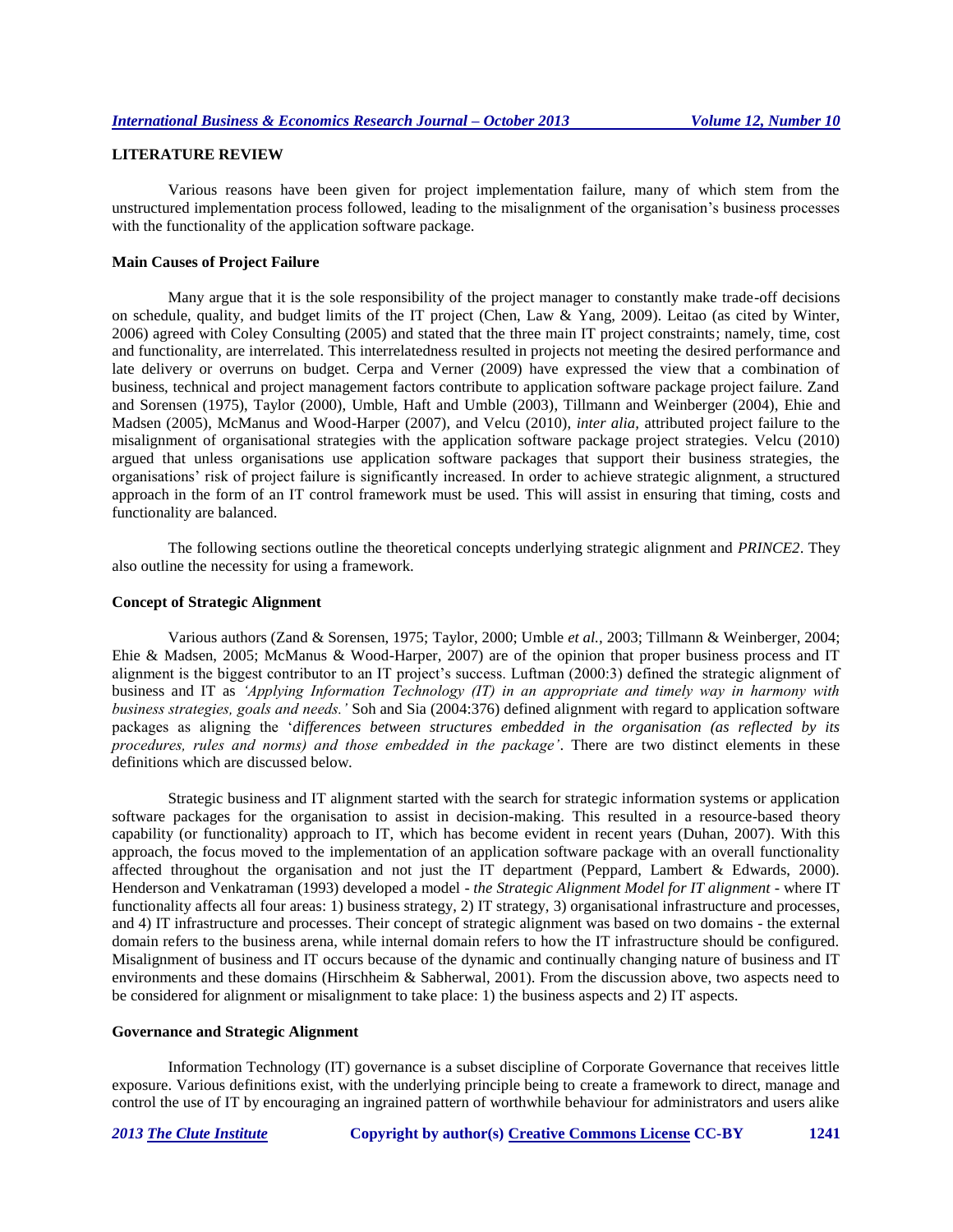# **LITERATURE REVIEW**

Various reasons have been given for project implementation failure, many of which stem from the unstructured implementation process followed, leading to the misalignment of the organisation's business processes with the functionality of the application software package.

#### **Main Causes of Project Failure**

Many argue that it is the sole responsibility of the project manager to constantly make trade-off decisions on schedule, quality, and budget limits of the IT project (Chen, Law & Yang, 2009). Leitao (as cited by Winter, 2006) agreed with Coley Consulting (2005) and stated that the three main IT project constraints; namely, time, cost and functionality, are interrelated. This interrelatedness resulted in projects not meeting the desired performance and late delivery or overruns on budget. Cerpa and Verner (2009) have expressed the view that a combination of business, technical and project management factors contribute to application software package project failure. Zand and Sorensen (1975), Taylor (2000), Umble, Haft and Umble (2003), Tillmann and Weinberger (2004), Ehie and Madsen (2005), McManus and Wood-Harper (2007), and Velcu (2010), *inter alia,* attributed project failure to the misalignment of organisational strategies with the application software package project strategies. Velcu (2010) argued that unless organisations use application software packages that support their business strategies, the organisations' risk of project failure is significantly increased. In order to achieve strategic alignment, a structured approach in the form of an IT control framework must be used. This will assist in ensuring that timing, costs and functionality are balanced.

The following sections outline the theoretical concepts underlying strategic alignment and *PRINCE2*. They also outline the necessity for using a framework.

#### **Concept of Strategic Alignment**

Various authors (Zand & Sorensen, 1975; Taylor, 2000; Umble *et al.,* 2003; Tillmann & Weinberger, 2004; Ehie & Madsen, 2005; McManus & Wood-Harper, 2007) are of the opinion that proper business process and IT alignment is the biggest contributor to an IT project's success. Luftman (2000:3) defined the strategic alignment of business and IT as *'Applying Information Technology (IT) in an appropriate and timely way in harmony with business strategies, goals and needs.'* Soh and Sia (2004:376) defined alignment with regard to application software packages as aligning the '*differences between structures embedded in the organisation (as reflected by its procedures, rules and norms) and those embedded in the package'*. There are two distinct elements in these definitions which are discussed below.

Strategic business and IT alignment started with the search for strategic information systems or application software packages for the organisation to assist in decision-making. This resulted in a resource-based theory capability (or functionality) approach to IT, which has become evident in recent years (Duhan, 2007). With this approach, the focus moved to the implementation of an application software package with an overall functionality affected throughout the organisation and not just the IT department (Peppard, Lambert & Edwards, 2000). Henderson and Venkatraman (1993) developed a model - *the Strategic Alignment Model for IT alignment* - where IT functionality affects all four areas: 1) business strategy, 2) IT strategy, 3) organisational infrastructure and processes, and 4) IT infrastructure and processes. Their concept of strategic alignment was based on two domains - the external domain refers to the business arena, while internal domain refers to how the IT infrastructure should be configured. Misalignment of business and IT occurs because of the dynamic and continually changing nature of business and IT environments and these domains (Hirschheim & Sabherwal, 2001). From the discussion above, two aspects need to be considered for alignment or misalignment to take place: 1) the business aspects and 2) IT aspects.

#### **Governance and Strategic Alignment**

Information Technology (IT) governance is a subset discipline of Corporate Governance that receives little exposure. Various definitions exist, with the underlying principle being to create a framework to direct, manage and control the use of IT by encouraging an ingrained pattern of worthwhile behaviour for administrators and users alike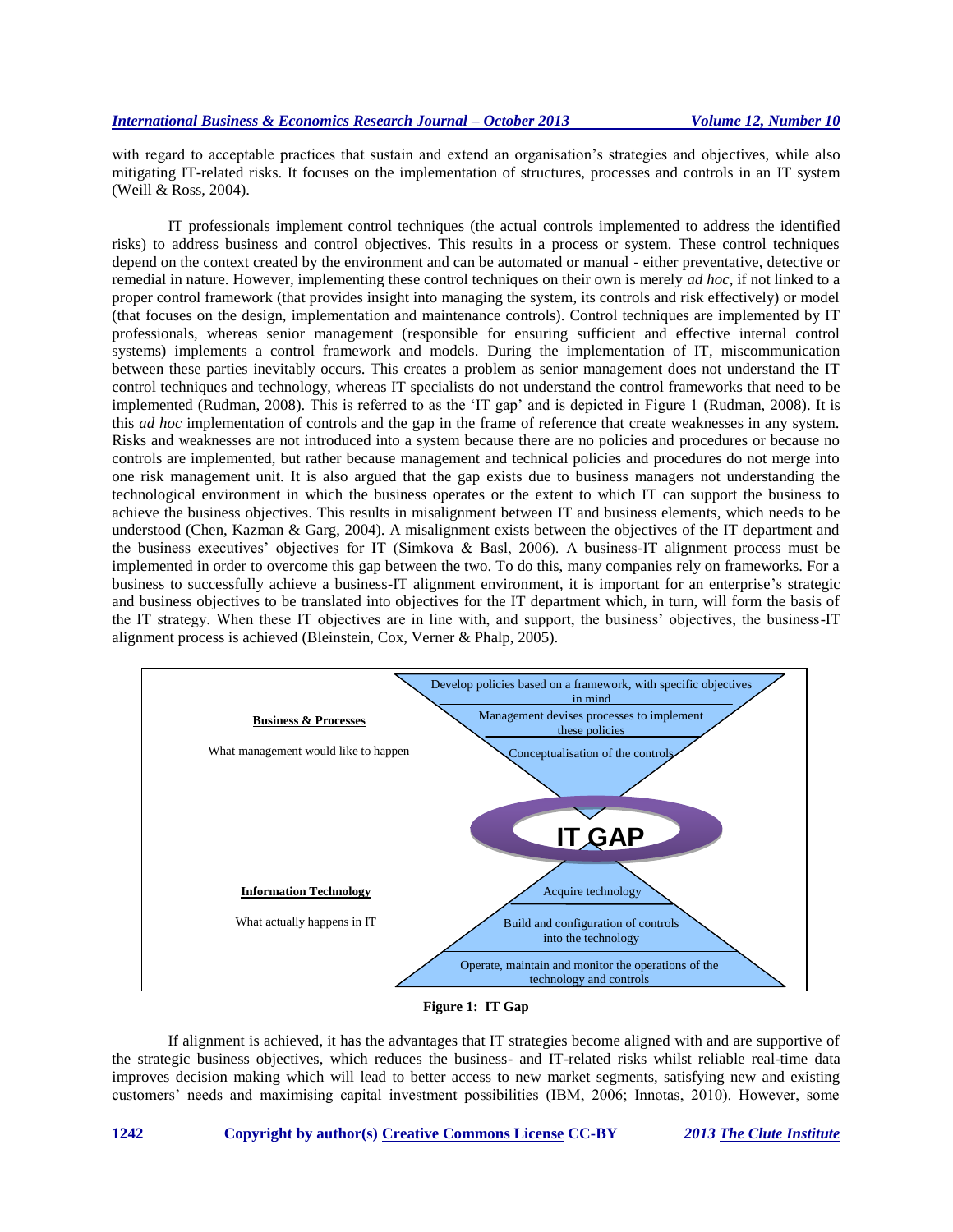with regard to acceptable practices that sustain and extend an organisation's strategies and objectives, while also mitigating IT-related risks. It focuses on the implementation of structures, processes and controls in an IT system (Weill & Ross, 2004).

IT professionals implement control techniques (the actual controls implemented to address the identified risks) to address business and control objectives. This results in a process or system. These control techniques depend on the context created by the environment and can be automated or manual - either preventative, detective or remedial in nature. However, implementing these control techniques on their own is merely *ad hoc*, if not linked to a proper control framework (that provides insight into managing the system, its controls and risk effectively) or model (that focuses on the design, implementation and maintenance controls). Control techniques are implemented by IT professionals, whereas senior management (responsible for ensuring sufficient and effective internal control systems) implements a control framework and models. During the implementation of IT, miscommunication between these parties inevitably occurs. This creates a problem as senior management does not understand the IT control techniques and technology, whereas IT specialists do not understand the control frameworks that need to be implemented (Rudman, 2008). This is referred to as the 'IT gap' and is depicted in Figure 1 (Rudman, 2008). It is this *ad hoc* implementation of controls and the gap in the frame of reference that create weaknesses in any system. Risks and weaknesses are not introduced into a system because there are no policies and procedures or because no controls are implemented, but rather because management and technical policies and procedures do not merge into one risk management unit. It is also argued that the gap exists due to business managers not understanding the technological environment in which the business operates or the extent to which IT can support the business to achieve the business objectives. This results in misalignment between IT and business elements, which needs to be understood (Chen, Kazman & Garg, 2004). A misalignment exists between the objectives of the IT department and the business executives' objectives for IT (Simkova & Basl, 2006). A business-IT alignment process must be implemented in order to overcome this gap between the two. To do this, many companies rely on frameworks. For a business to successfully achieve a business-IT alignment environment, it is important for an enterprise's strategic and business objectives to be translated into objectives for the IT department which, in turn, will form the basis of the IT strategy. When these IT objectives are in line with, and support, the business' objectives, the business-IT alignment process is achieved (Bleinstein, Cox, Verner & Phalp, 2005).



**Figure 1: IT Gap**

If alignment is achieved, it has the advantages that IT strategies become aligned with and are supportive of the strategic business objectives, which reduces the business- and IT-related risks whilst reliable real-time data improves decision making which will lead to better access to new market segments, satisfying new and existing customers' needs and maximising capital investment possibilities (IBM, 2006; Innotas, 2010). However, some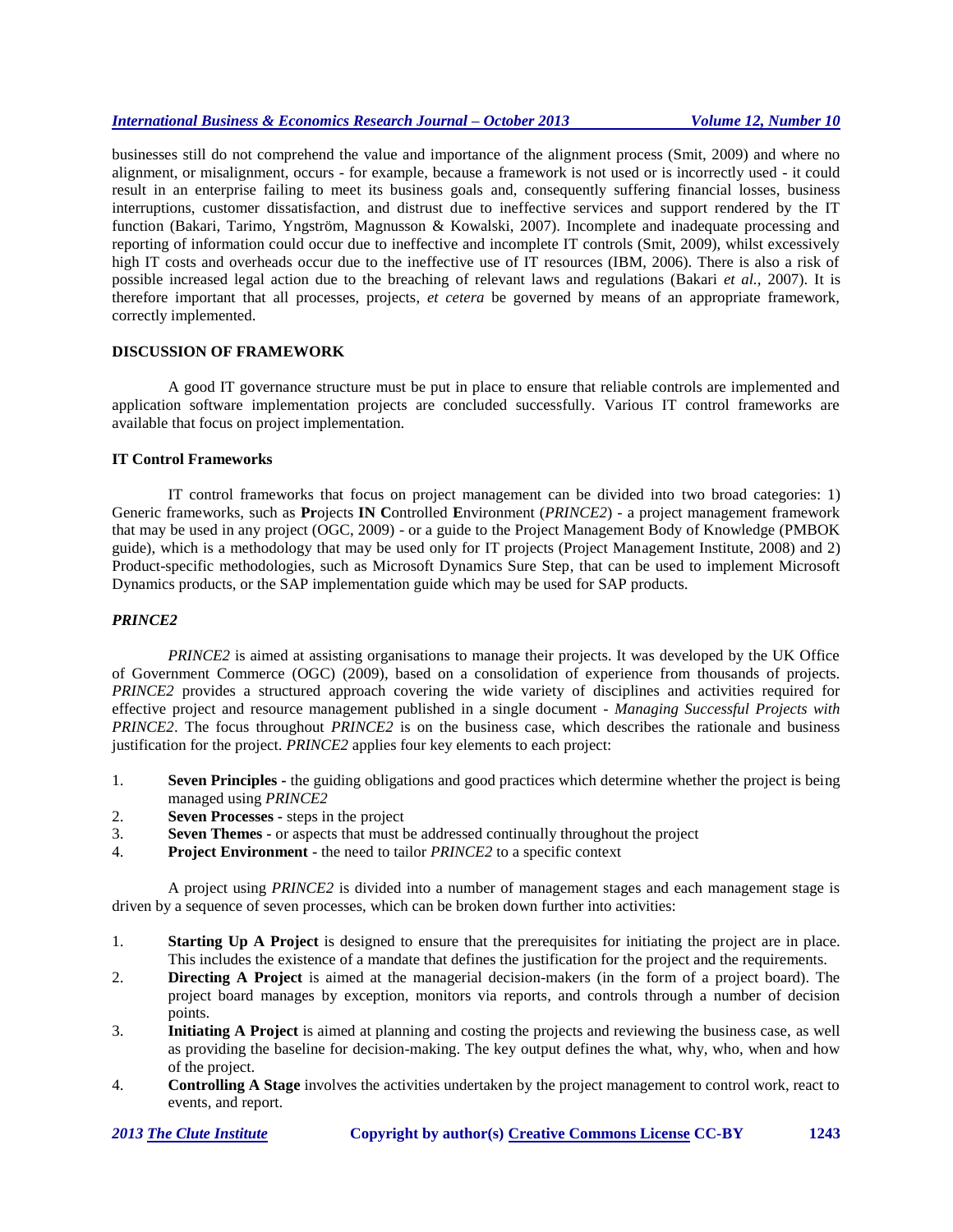businesses still do not comprehend the value and importance of the alignment process (Smit, 2009) and where no alignment, or misalignment, occurs - for example, because a framework is not used or is incorrectly used - it could result in an enterprise failing to meet its business goals and, consequently suffering financial losses, business interruptions, customer dissatisfaction, and distrust due to ineffective services and support rendered by the IT function (Bakari, Tarimo, Yngström, Magnusson & Kowalski, 2007). Incomplete and inadequate processing and reporting of information could occur due to ineffective and incomplete IT controls (Smit, 2009), whilst excessively high IT costs and overheads occur due to the ineffective use of IT resources (IBM, 2006). There is also a risk of possible increased legal action due to the breaching of relevant laws and regulations (Bakari *et al.,* 2007). It is therefore important that all processes, projects, *et cetera* be governed by means of an appropriate framework, correctly implemented.

# **DISCUSSION OF FRAMEWORK**

A good IT governance structure must be put in place to ensure that reliable controls are implemented and application software implementation projects are concluded successfully. Various IT control frameworks are available that focus on project implementation.

## **IT Control Frameworks**

IT control frameworks that focus on project management can be divided into two broad categories: 1) Generic frameworks, such as **Pr**ojects **IN C**ontrolled **E**nvironment (*PRINCE2*) - a project management framework that may be used in any project (OGC, 2009) - or a guide to the Project Management Body of Knowledge (PMBOK guide), which is a methodology that may be used only for IT projects (Project Management Institute, 2008) and 2) Product-specific methodologies, such as Microsoft Dynamics Sure Step, that can be used to implement Microsoft Dynamics products, or the SAP implementation guide which may be used for SAP products.

# *PRINCE2*

*PRINCE2* is aimed at assisting organisations to manage their projects. It was developed by the UK Office of Government Commerce (OGC) (2009)*,* based on a consolidation of experience from thousands of projects. *PRINCE2* provides a structured approach covering the wide variety of disciplines and activities required for effective project and resource management published in a single document - *Managing Successful Projects with PRINCE2*. The focus throughout *PRINCE2* is on the business case, which describes the rationale and business justification for the project. *PRINCE2* applies four key elements to each project:

- 1. **Seven Principles -** the guiding obligations and good practices which determine whether the project is being managed using *PRINCE2*
- 2. **Seven Processes -** steps in the project
- 3. **Seven Themes -** or aspects that must be addressed continually throughout the project
- 4. **Project Environment -** the need to tailor *PRINCE2* to a specific context

A project using *PRINCE2* is divided into a number of management stages and each management stage is driven by a sequence of seven processes, which can be broken down further into activities:

- 1. **Starting Up A Project** is designed to ensure that the prerequisites for initiating the project are in place. This includes the existence of a mandate that defines the justification for the project and the requirements.
- 2. **Directing A Project** is aimed at the managerial decision-makers (in the form of a project board). The project board manages by exception, monitors via reports, and controls through a number of decision points.
- 3. **Initiating A Project** is aimed at planning and costing the projects and reviewing the business case, as well as providing the baseline for decision-making. The key output defines the what, why, who, when and how of the project.
- 4. **Controlling A Stage** involves the activities undertaken by the project management to control work, react to events, and report.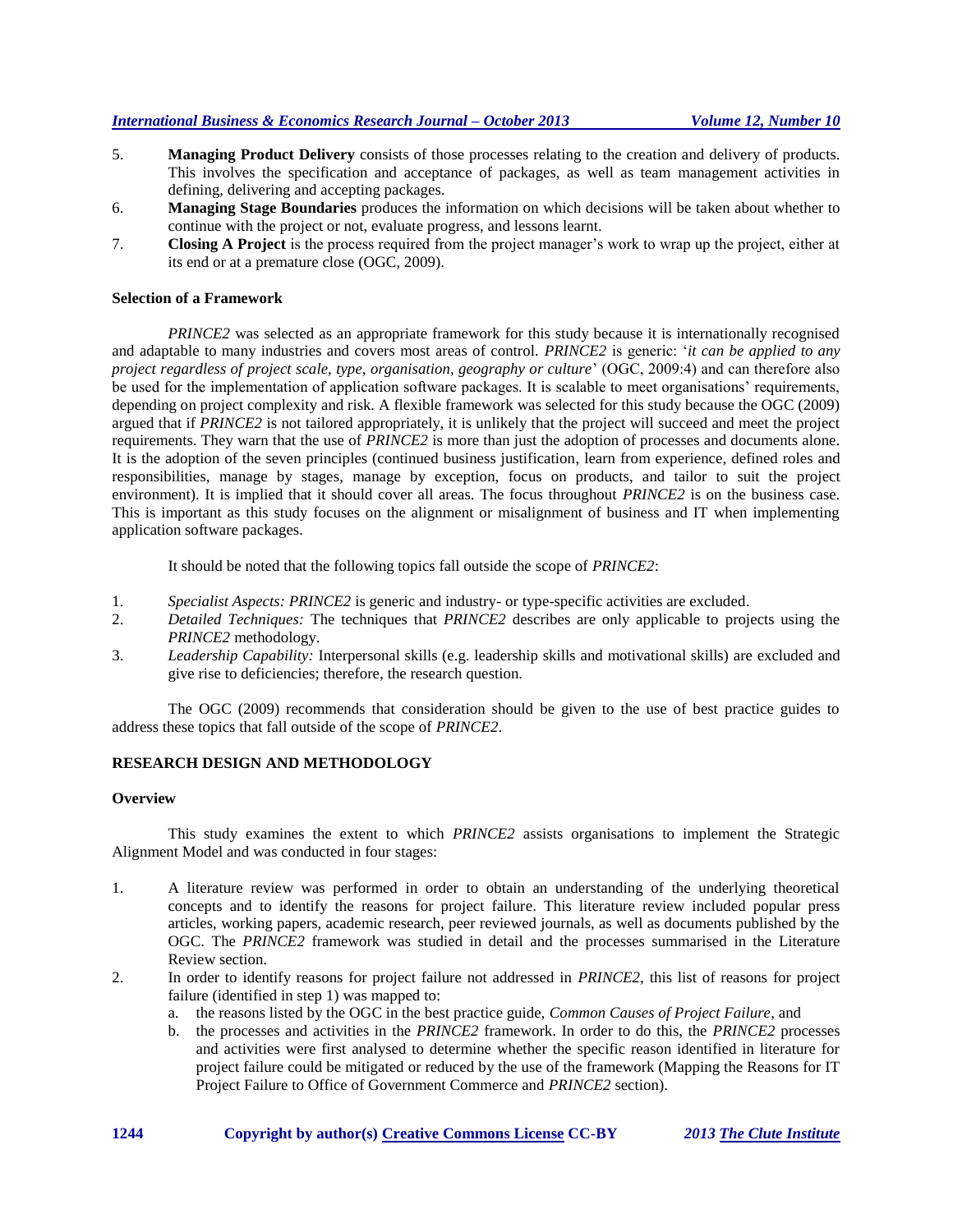- 5. **Managing Product Delivery** consists of those processes relating to the creation and delivery of products. This involves the specification and acceptance of packages, as well as team management activities in defining, delivering and accepting packages.
- 6. **Managing Stage Boundaries** produces the information on which decisions will be taken about whether to continue with the project or not, evaluate progress, and lessons learnt.
- 7. **Closing A Project** is the process required from the project manager's work to wrap up the project, either at its end or at a premature close (OGC, 2009).

## **Selection of a Framework**

*PRINCE2* was selected as an appropriate framework for this study because it is internationally recognised and adaptable to many industries and covers most areas of control. *PRINCE2* is generic: '*it can be applied to any project regardless of project scale, type, organisation, geography or culture*' (OGC, 2009:4) and can therefore also be used for the implementation of application software packages. It is scalable to meet organisations' requirements, depending on project complexity and risk. A flexible framework was selected for this study because the OGC (2009) argued that if *PRINCE2* is not tailored appropriately, it is unlikely that the project will succeed and meet the project requirements. They warn that the use of *PRINCE2* is more than just the adoption of processes and documents alone. It is the adoption of the seven principles (continued business justification, learn from experience, defined roles and responsibilities, manage by stages, manage by exception, focus on products, and tailor to suit the project environment). It is implied that it should cover all areas. The focus throughout *PRINCE2* is on the business case. This is important as this study focuses on the alignment or misalignment of business and IT when implementing application software packages.

It should be noted that the following topics fall outside the scope of *PRINCE2*:

- 1. *Specialist Aspects: PRINCE2* is generic and industry- or type-specific activities are excluded.
- 2. *Detailed Techniques:* The techniques that *PRINCE2* describes are only applicable to projects using the *PRINCE2* methodology.
- 3. *Leadership Capability:* Interpersonal skills (e.g. leadership skills and motivational skills) are excluded and give rise to deficiencies; therefore, the research question.

The OGC (2009) recommends that consideration should be given to the use of best practice guides to address these topics that fall outside of the scope of *PRINCE2*.

## **RESEARCH DESIGN AND METHODOLOGY**

#### **Overview**

This study examines the extent to which *PRINCE2* assists organisations to implement the Strategic Alignment Model and was conducted in four stages:

- 1. A literature review was performed in order to obtain an understanding of the underlying theoretical concepts and to identify the reasons for project failure. This literature review included popular press articles, working papers, academic research, peer reviewed journals, as well as documents published by the OGC. The *PRINCE2* framework was studied in detail and the processes summarised in the Literature Review section.
- 2. In order to identify reasons for project failure not addressed in *PRINCE2*, this list of reasons for project failure (identified in step 1) was mapped to:
	- a. the reasons listed by the OGC in the best practice guide, *Common Causes of Project Failure*, and
	- b. the processes and activities in the *PRINCE2* framework. In order to do this, the *PRINCE2* processes and activities were first analysed to determine whether the specific reason identified in literature for project failure could be mitigated or reduced by the use of the framework (Mapping the Reasons for IT Project Failure to Office of Government Commerce and *PRINCE2* section).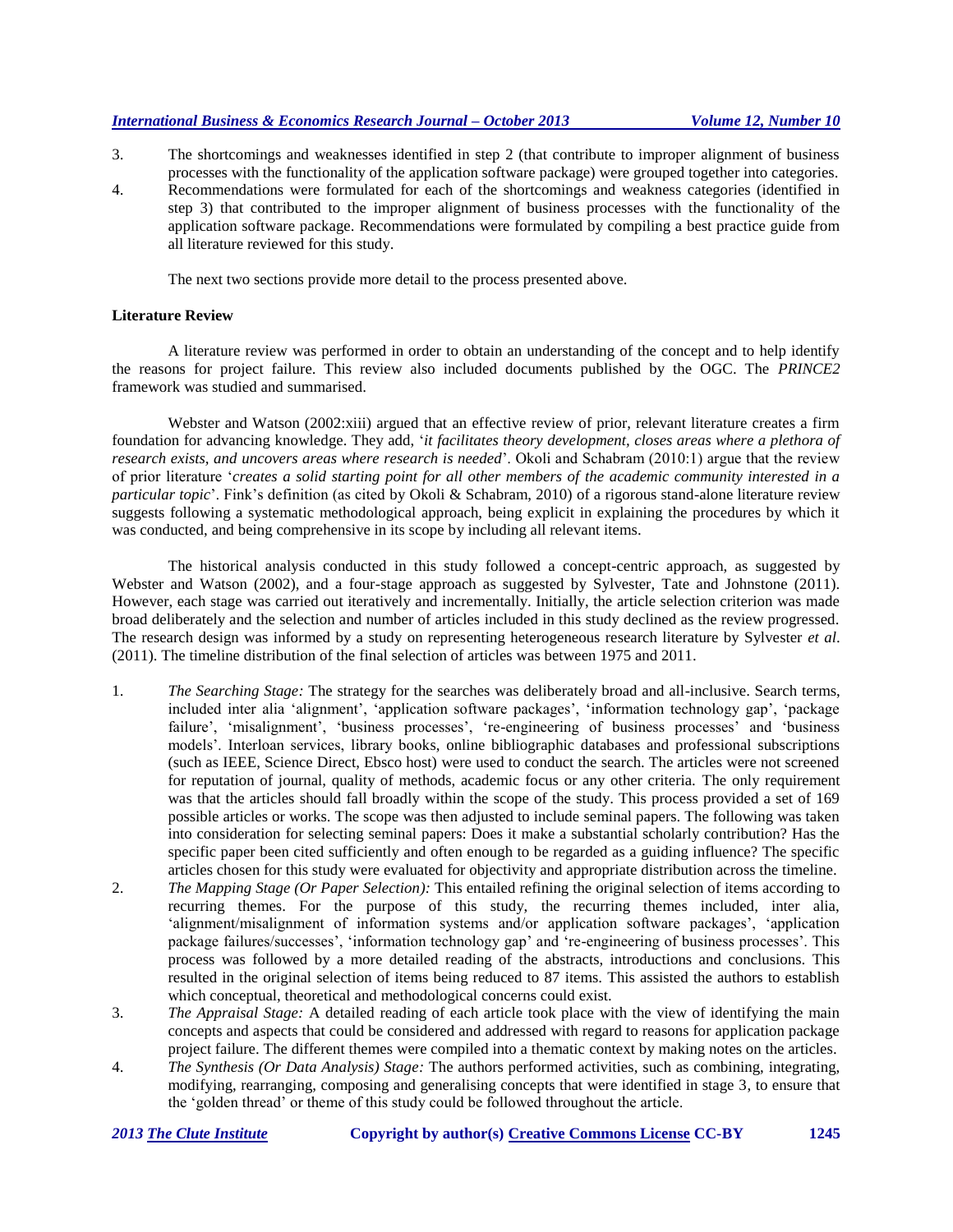- 3. The shortcomings and weaknesses identified in step 2 (that contribute to improper alignment of business processes with the functionality of the application software package) were grouped together into categories.
- 4. Recommendations were formulated for each of the shortcomings and weakness categories (identified in step 3) that contributed to the improper alignment of business processes with the functionality of the application software package. Recommendations were formulated by compiling a best practice guide from all literature reviewed for this study.

The next two sections provide more detail to the process presented above.

#### **Literature Review**

A literature review was performed in order to obtain an understanding of the concept and to help identify the reasons for project failure. This review also included documents published by the OGC. The *PRINCE2* framework was studied and summarised.

Webster and Watson (2002:xiii) argued that an effective review of prior, relevant literature creates a firm foundation for advancing knowledge. They add, '*it facilitates theory development, closes areas where a plethora of research exists, and uncovers areas where research is needed*'. Okoli and Schabram (2010:1) argue that the review of prior literature '*creates a solid starting point for all other members of the academic community interested in a particular topic*'. Fink's definition (as cited by Okoli & Schabram, 2010) of a rigorous stand-alone literature review suggests following a systematic methodological approach, being explicit in explaining the procedures by which it was conducted, and being comprehensive in its scope by including all relevant items.

The historical analysis conducted in this study followed a concept-centric approach, as suggested by Webster and Watson (2002), and a four-stage approach as suggested by Sylvester, Tate and Johnstone (2011). However, each stage was carried out iteratively and incrementally. Initially, the article selection criterion was made broad deliberately and the selection and number of articles included in this study declined as the review progressed. The research design was informed by a study on representing heterogeneous research literature by Sylvester *et al*. (2011). The timeline distribution of the final selection of articles was between 1975 and 2011.

- 1. *The Searching Stage:* The strategy for the searches was deliberately broad and all-inclusive. Search terms, included inter alia 'alignment', 'application software packages', 'information technology gap', 'package failure', 'misalignment', 'business processes', 're-engineering of business processes' and 'business models'. Interloan services, library books, online bibliographic databases and professional subscriptions (such as IEEE, Science Direct, Ebsco host) were used to conduct the search. The articles were not screened for reputation of journal, quality of methods, academic focus or any other criteria. The only requirement was that the articles should fall broadly within the scope of the study. This process provided a set of 169 possible articles or works. The scope was then adjusted to include seminal papers. The following was taken into consideration for selecting seminal papers: Does it make a substantial scholarly contribution? Has the specific paper been cited sufficiently and often enough to be regarded as a guiding influence? The specific articles chosen for this study were evaluated for objectivity and appropriate distribution across the timeline.
- 2. *The Mapping Stage (Or Paper Selection):* This entailed refining the original selection of items according to recurring themes. For the purpose of this study, the recurring themes included, inter alia, 'alignment/misalignment of information systems and/or application software packages', 'application package failures/successes', 'information technology gap' and 're-engineering of business processes'. This process was followed by a more detailed reading of the abstracts, introductions and conclusions. This resulted in the original selection of items being reduced to 87 items. This assisted the authors to establish which conceptual, theoretical and methodological concerns could exist.
- 3. *The Appraisal Stage:* A detailed reading of each article took place with the view of identifying the main concepts and aspects that could be considered and addressed with regard to reasons for application package project failure. The different themes were compiled into a thematic context by making notes on the articles.
- 4. *The Synthesis (Or Data Analysis) Stage:* The authors performed activities, such as combining, integrating, modifying, rearranging, composing and generalising concepts that were identified in stage 3, to ensure that the 'golden thread' or theme of this study could be followed throughout the article.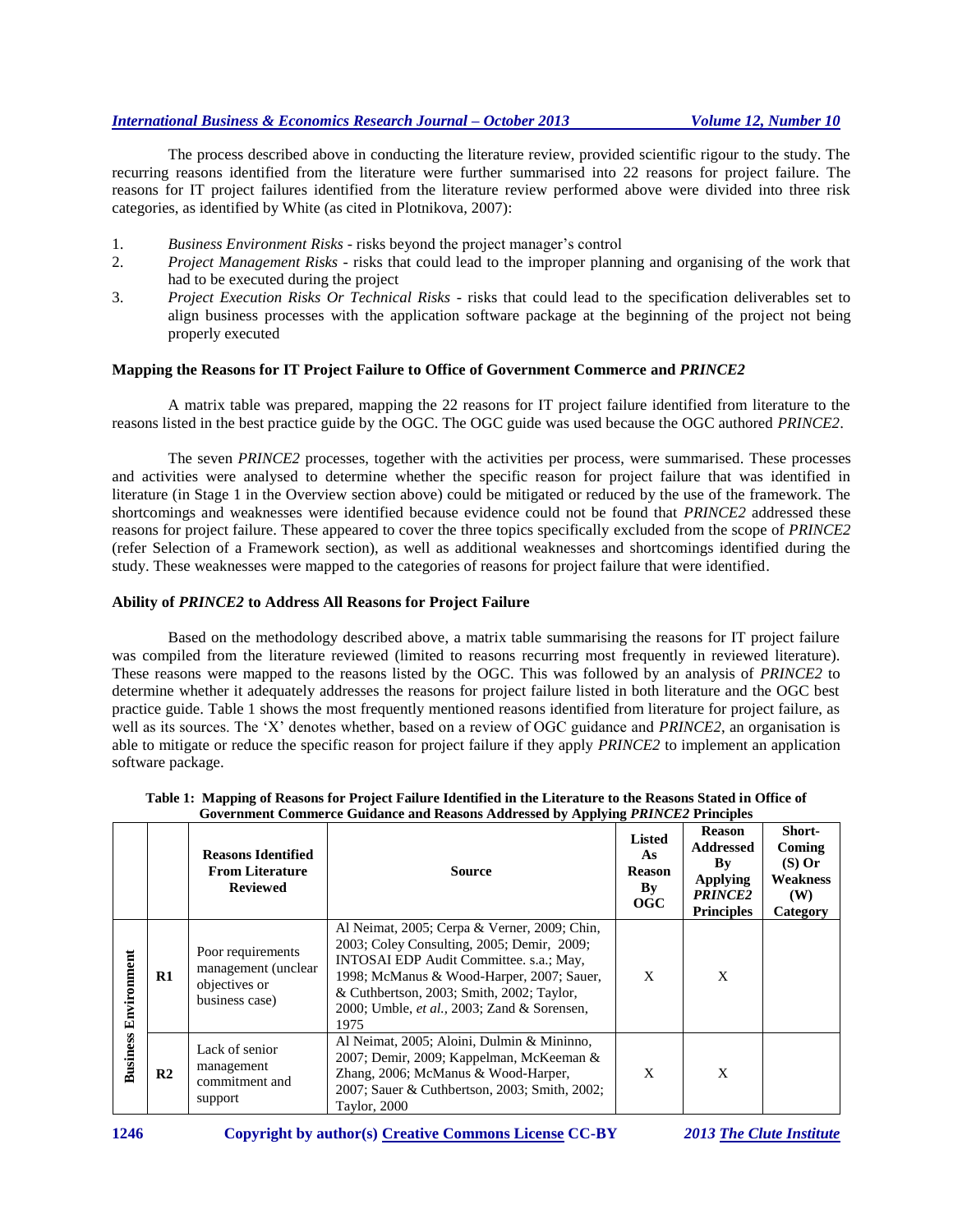The process described above in conducting the literature review, provided scientific rigour to the study. The recurring reasons identified from the literature were further summarised into 22 reasons for project failure. The reasons for IT project failures identified from the literature review performed above were divided into three risk categories, as identified by White (as cited in Plotnikova, 2007):

- 1. *Business Environment Risks -* risks beyond the project manager's control
- 2. *Project Management Risks -* risks that could lead to the improper planning and organising of the work that had to be executed during the project
- 3. *Project Execution Risks Or Technical Risks -* risks that could lead to the specification deliverables set to align business processes with the application software package at the beginning of the project not being properly executed

# **Mapping the Reasons for IT Project Failure to Office of Government Commerce and** *PRINCE2*

A matrix table was prepared, mapping the 22 reasons for IT project failure identified from literature to the reasons listed in the best practice guide by the OGC. The OGC guide was used because the OGC authored *PRINCE2*.

The seven *PRINCE2* processes, together with the activities per process, were summarised. These processes and activities were analysed to determine whether the specific reason for project failure that was identified in literature (in Stage 1 in the Overview section above) could be mitigated or reduced by the use of the framework. The shortcomings and weaknesses were identified because evidence could not be found that *PRINCE2* addressed these reasons for project failure. These appeared to cover the three topics specifically excluded from the scope of *PRINCE2* (refer Selection of a Framework section), as well as additional weaknesses and shortcomings identified during the study. These weaknesses were mapped to the categories of reasons for project failure that were identified.

#### **Ability of** *PRINCE2* **to Address All Reasons for Project Failure**

Based on the methodology described above, a matrix table summarising the reasons for IT project failure was compiled from the literature reviewed (limited to reasons recurring most frequently in reviewed literature). These reasons were mapped to the reasons listed by the OGC. This was followed by an analysis of *PRINCE2* to determine whether it adequately addresses the reasons for project failure listed in both literature and the OGC best practice guide. Table 1 shows the most frequently mentioned reasons identified from literature for project failure, as well as its sources. The 'X' denotes whether, based on a review of OGC guidance and *PRINCE2*, an organisation is able to mitigate or reduce the specific reason for project failure if they apply *PRINCE2* to implement an application software package.

|                 |                | <b>Reasons Identified</b><br><b>From Literature</b><br><b>Reviewed</b>      | Source                                                                                                                                                                                                                                                                                         | <b>Listed</b><br>As<br>Reason<br>$\mathbf{B}\mathbf{y}$<br>OGC | <b>Reason</b><br><b>Addressed</b><br>Bv<br><b>Applying</b><br><b>PRINCE2</b><br><b>Principles</b> | Short-<br>Coming<br>$(S)$ Or<br>Weakness<br><b>(W)</b><br>Category |
|-----------------|----------------|-----------------------------------------------------------------------------|------------------------------------------------------------------------------------------------------------------------------------------------------------------------------------------------------------------------------------------------------------------------------------------------|----------------------------------------------------------------|---------------------------------------------------------------------------------------------------|--------------------------------------------------------------------|
| Environment     | $\mathbf{R}1$  | Poor requirements<br>management (unclear<br>objectives or<br>business case) | Al Neimat, 2005; Cerpa & Verner, 2009; Chin,<br>2003; Coley Consulting, 2005; Demir, 2009;<br>INTOSAI EDP Audit Committee. s.a.; May,<br>1998; McManus & Wood-Harper, 2007; Sauer,<br>& Cuthbertson, 2003; Smith, 2002; Taylor,<br>2000; Umble, <i>et al.</i> , 2003; Zand & Sorensen,<br>1975 | X                                                              | X                                                                                                 |                                                                    |
| <b>Business</b> | R <sub>2</sub> | Lack of senior<br>management<br>commitment and<br>support                   | Al Neimat, 2005; Aloini, Dulmin & Mininno,<br>2007; Demir, 2009; Kappelman, McKeeman &<br>Zhang, 2006; McManus & Wood-Harper,<br>2007; Sauer & Cuthbertson, 2003; Smith, 2002;<br>Taylor, 2000                                                                                                 | X                                                              | X                                                                                                 |                                                                    |

|                                                                                          | Table 1: Mapping of Reasons for Project Failure Identified in the Literature to the Reasons Stated in Office of |  |  |  |  |  |  |
|------------------------------------------------------------------------------------------|-----------------------------------------------------------------------------------------------------------------|--|--|--|--|--|--|
| Government Commerce Guidance and Reasons Addressed by Applying <i>PRINCE2</i> Principles |                                                                                                                 |  |  |  |  |  |  |
|                                                                                          |                                                                                                                 |  |  |  |  |  |  |

**1246 Copyright by author(s) [Creative Commons License](http://creativecommons.org/licenses/by/3.0/) CC-BY** *2013 [The Clute Institute](http://www.cluteinstitute.com/)*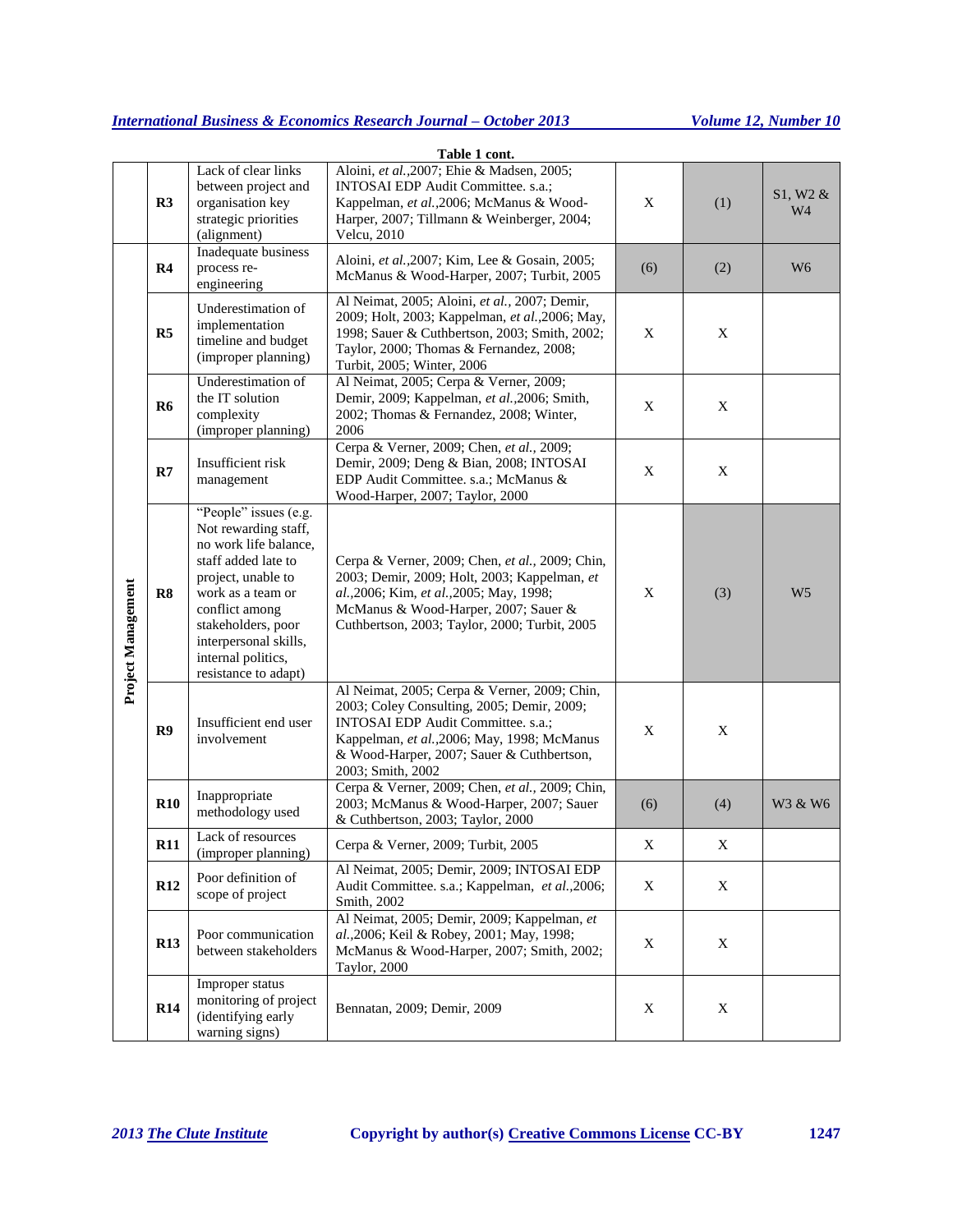|                    |                |                                                                                                                                                                                                                                                         | Table 1 cont.                                                                                                                                                                                                                                     |     |     |                            |
|--------------------|----------------|---------------------------------------------------------------------------------------------------------------------------------------------------------------------------------------------------------------------------------------------------------|---------------------------------------------------------------------------------------------------------------------------------------------------------------------------------------------------------------------------------------------------|-----|-----|----------------------------|
|                    | R3             | Lack of clear links<br>between project and<br>organisation key<br>strategic priorities<br>(alignment)                                                                                                                                                   | Aloini, et al., 2007; Ehie & Madsen, 2005;<br>INTOSAI EDP Audit Committee. s.a.;<br>Kappelman, et al., 2006; McManus & Wood-<br>Harper, 2007; Tillmann & Weinberger, 2004;<br>Velcu, 2010                                                         | X   | (1) | S1, W2 &<br>W <sub>4</sub> |
| Project Management | R <sub>4</sub> | Inadequate business<br>process re-<br>engineering                                                                                                                                                                                                       | Aloini, et al., 2007; Kim, Lee & Gosain, 2005;<br>McManus & Wood-Harper, 2007; Turbit, 2005                                                                                                                                                       | (6) | (2) | W <sub>6</sub>             |
|                    | R5             | Underestimation of<br>implementation<br>timeline and budget<br>(improper planning)                                                                                                                                                                      | Al Neimat, 2005; Aloini, et al., 2007; Demir,<br>2009; Holt, 2003; Kappelman, et al., 2006; May,<br>1998; Sauer & Cuthbertson, 2003; Smith, 2002;<br>Taylor, 2000; Thomas & Fernandez, 2008;<br>Turbit, 2005; Winter, 2006                        | X   | X   |                            |
|                    | <b>R6</b>      | Underestimation of<br>the IT solution<br>complexity<br>(improper planning)                                                                                                                                                                              | Al Neimat, 2005; Cerpa & Verner, 2009;<br>Demir, 2009; Kappelman, et al., 2006; Smith,<br>2002; Thomas & Fernandez, 2008; Winter,<br>2006                                                                                                         | X   | X   |                            |
|                    | R7             | Insufficient risk<br>management                                                                                                                                                                                                                         | Cerpa & Verner, 2009; Chen, et al., 2009;<br>Demir, 2009; Deng & Bian, 2008; INTOSAI<br>EDP Audit Committee. s.a.; McManus &<br>Wood-Harper, 2007; Taylor, 2000                                                                                   | X   | X   |                            |
|                    | R8             | "People" issues (e.g.<br>Not rewarding staff,<br>no work life balance,<br>staff added late to<br>project, unable to<br>work as a team or<br>conflict among<br>stakeholders, poor<br>interpersonal skills,<br>internal politics,<br>resistance to adapt) | Cerpa & Verner, 2009; Chen, et al., 2009; Chin,<br>2003; Demir, 2009; Holt, 2003; Kappelman, et<br>al., 2006; Kim, et al., 2005; May, 1998;<br>McManus & Wood-Harper, 2007; Sauer &<br>Cuthbertson, 2003; Taylor, 2000; Turbit, 2005              | X   | (3) | W <sub>5</sub>             |
|                    | R9             | Insufficient end user<br>involvement                                                                                                                                                                                                                    | Al Neimat, 2005; Cerpa & Verner, 2009; Chin,<br>2003; Coley Consulting, 2005; Demir, 2009;<br>INTOSAI EDP Audit Committee. s.a.;<br>Kappelman, et al., 2006; May, 1998; McManus<br>& Wood-Harper, 2007; Sauer & Cuthbertson,<br>2003; Smith, 2002 | X   | X   |                            |
|                    | R10            | Inappropriate<br>methodology used                                                                                                                                                                                                                       | Cerpa & Verner, 2009; Chen, et al., 2009; Chin,<br>2003; McManus & Wood-Harper, 2007; Sauer<br>& Cuthbertson, 2003; Taylor, 2000                                                                                                                  | (6) | (4) | W3 & W6                    |
|                    | R11            | Lack of resources<br>(improper planning)                                                                                                                                                                                                                | Cerpa & Verner, 2009; Turbit, 2005                                                                                                                                                                                                                | X   | X   |                            |
|                    | R12            | Poor definition of<br>scope of project                                                                                                                                                                                                                  | Al Neimat, 2005; Demir, 2009; INTOSAI EDP<br>Audit Committee. s.a.; Kappelman, et al., 2006;<br>Smith, 2002                                                                                                                                       | X   | X   |                            |
|                    | <b>R13</b>     | Poor communication<br>between stakeholders                                                                                                                                                                                                              | Al Neimat, 2005; Demir, 2009; Kappelman, et<br>al., 2006; Keil & Robey, 2001; May, 1998;<br>McManus & Wood-Harper, 2007; Smith, 2002;<br>Taylor, 2000                                                                                             | X   | X   |                            |
|                    | <b>R14</b>     | Improper status<br>monitoring of project<br>(identifying early<br>warning signs)                                                                                                                                                                        | Bennatan, 2009; Demir, 2009                                                                                                                                                                                                                       | X   | X   |                            |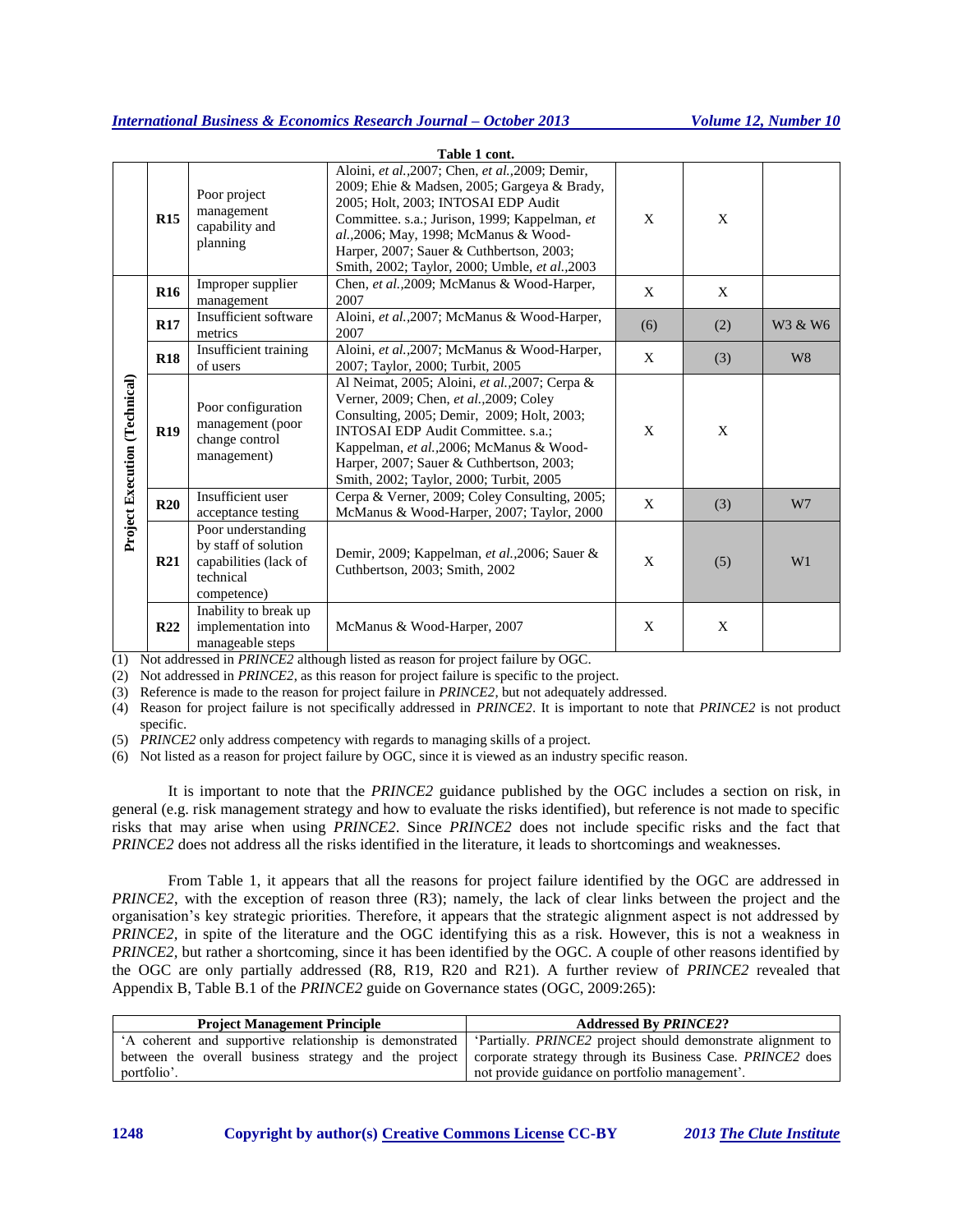|                               |            |                                                                                                 | Table 1 cont.                                                                                                                                                                                                                                                                                                                  |     |     |                |
|-------------------------------|------------|-------------------------------------------------------------------------------------------------|--------------------------------------------------------------------------------------------------------------------------------------------------------------------------------------------------------------------------------------------------------------------------------------------------------------------------------|-----|-----|----------------|
|                               | R15        | Poor project<br>management<br>capability and<br>planning                                        | Aloini, et al., 2007; Chen, et al., 2009; Demir,<br>2009; Ehie & Madsen, 2005; Gargeya & Brady,<br>2005; Holt, 2003; INTOSAI EDP Audit<br>Committee. s.a.; Jurison, 1999; Kappelman, et<br>al., 2006; May, 1998; McManus & Wood-<br>Harper, 2007; Sauer & Cuthbertson, 2003;<br>Smith, 2002; Taylor, 2000; Umble, et al., 2003 | X   | X   |                |
| Project Execution (Technical) | <b>R16</b> | Improper supplier<br>management                                                                 | Chen, et al., 2009; McManus & Wood-Harper,<br>2007                                                                                                                                                                                                                                                                             | X   | X   |                |
|                               | <b>R17</b> | Insufficient software<br>metrics                                                                | Aloini, et al., 2007; McManus & Wood-Harper,<br>2007                                                                                                                                                                                                                                                                           | (6) | (2) | W3 & W6        |
|                               | <b>R18</b> | Insufficient training<br>of users                                                               | Aloini, et al., 2007; McManus & Wood-Harper,<br>2007; Taylor, 2000; Turbit, 2005                                                                                                                                                                                                                                               | X   | (3) | W <sub>8</sub> |
|                               | <b>R19</b> | Poor configuration<br>management (poor<br>change control<br>management)                         | Al Neimat, 2005; Aloini, et al., 2007; Cerpa &<br>Verner, 2009; Chen, et al., 2009; Coley<br>Consulting, 2005; Demir, 2009; Holt, 2003;<br><b>INTOSAI EDP Audit Committee. s.a.:</b><br>Kappelman, et al., 2006; McManus & Wood-<br>Harper, 2007; Sauer & Cuthbertson, 2003;<br>Smith, 2002; Taylor, 2000; Turbit, 2005        | X   | X   |                |
|                               | R20        | Insufficient user<br>acceptance testing                                                         | Cerpa & Verner, 2009; Coley Consulting, 2005;<br>McManus & Wood-Harper, 2007; Taylor, 2000                                                                                                                                                                                                                                     | X   | (3) | W7             |
|                               | R21        | Poor understanding<br>by staff of solution<br>capabilities (lack of<br>technical<br>competence) | Demir, 2009; Kappelman, et al., 2006; Sauer &<br>Cuthbertson, 2003; Smith, 2002                                                                                                                                                                                                                                                | X   | (5) | W1             |
|                               | <b>R22</b> | Inability to break up<br>implementation into<br>manageable steps                                | McManus & Wood-Harper, 2007                                                                                                                                                                                                                                                                                                    | X   | X   |                |

(1) Not addressed in *PRINCE2* although listed as reason for project failure by OGC.

(2) Not addressed in *PRINCE2*, as this reason for project failure is specific to the project.

(3) Reference is made to the reason for project failure in *PRINCE2*, but not adequately addressed.

(4) Reason for project failure is not specifically addressed in *PRINCE2*. It is important to note that *PRINCE2* is not product specific.

(5) *PRINCE2* only address competency with regards to managing skills of a project.

(6) Not listed as a reason for project failure by OGC, since it is viewed as an industry specific reason.

It is important to note that the *PRINCE2* guidance published by the OGC includes a section on risk, in general (e.g. risk management strategy and how to evaluate the risks identified), but reference is not made to specific risks that may arise when using *PRINCE2*. Since *PRINCE2* does not include specific risks and the fact that *PRINCE2* does not address all the risks identified in the literature, it leads to shortcomings and weaknesses.

From Table 1, it appears that all the reasons for project failure identified by the OGC are addressed in *PRINCE2*, with the exception of reason three (R3); namely, the lack of clear links between the project and the organisation's key strategic priorities. Therefore, it appears that the strategic alignment aspect is not addressed by *PRINCE2*, in spite of the literature and the OGC identifying this as a risk. However, this is not a weakness in *PRINCE2*, but rather a shortcoming, since it has been identified by the OGC. A couple of other reasons identified by the OGC are only partially addressed (R8, R19, R20 and R21). A further review of *PRINCE2* revealed that Appendix B, Table B.1 of the *PRINCE2* guide on Governance states (OGC, 2009:265):

| <b>Project Management Principle</b> | <b>Addressed By PRINCE2?</b>                                                                                         |
|-------------------------------------|----------------------------------------------------------------------------------------------------------------------|
|                                     | A coherent and supportive relationship is demonstrated   'Partially. PRINCE2 project should demonstrate alignment to |
|                                     | between the overall business strategy and the project   corporate strategy through its Business Case. PRINCE2 does   |
| portfolio'.                         | not provide guidance on portfolio management'.                                                                       |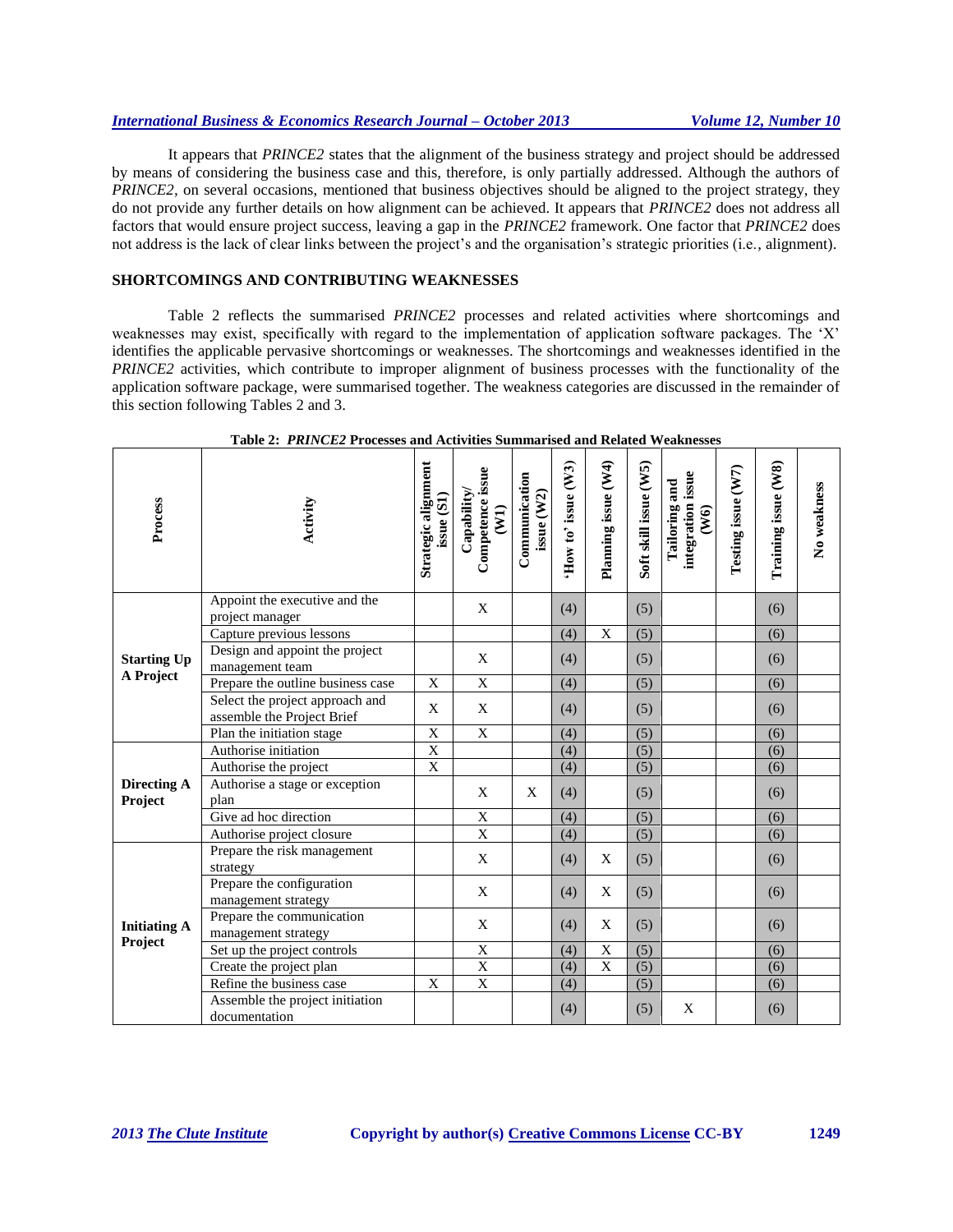It appears that *PRINCE2* states that the alignment of the business strategy and project should be addressed by means of considering the business case and this, therefore, is only partially addressed. Although the authors of *PRINCE2*, on several occasions, mentioned that business objectives should be aligned to the project strategy, they do not provide any further details on how alignment can be achieved. It appears that *PRINCE2* does not address all factors that would ensure project success, leaving a gap in the *PRINCE2* framework. One factor that *PRINCE2* does not address is the lack of clear links between the project's and the organisation's strategic priorities (i.e., alignment).

## **SHORTCOMINGS AND CONTRIBUTING WEAKNESSES**

Table 2 reflects the summarised *PRINCE2* processes and related activities where shortcomings and weaknesses may exist, specifically with regard to the implementation of application software packages. The 'X' identifies the applicable pervasive shortcomings or weaknesses. The shortcomings and weaknesses identified in the *PRINCE2* activities, which contribute to improper alignment of business processes with the functionality of the application software package, were summarised together. The weakness categories are discussed in the remainder of this section following Tables 2 and 3.

| Process                       | Activity                                                      | Strategic alignment<br>issue (S1) | Competence issue<br>Capability/<br>$(\overline{W1})$ | Communication<br>issue (W2) | How to' issue (W3) | Planning issue (W4) | Soft skill issue (W5) | integration issue<br><b>Tailoring and</b><br>(W6) | Testing issue (W7) | Training issue (W8) | No weakness |
|-------------------------------|---------------------------------------------------------------|-----------------------------------|------------------------------------------------------|-----------------------------|--------------------|---------------------|-----------------------|---------------------------------------------------|--------------------|---------------------|-------------|
|                               | Appoint the executive and the<br>project manager              |                                   | $\mathbf X$                                          |                             | (4)                |                     | (5)                   |                                                   |                    | (6)                 |             |
|                               | Capture previous lessons                                      |                                   |                                                      |                             | (4)                | $\mathbf X$         | (5)                   |                                                   |                    | (6)                 |             |
| <b>Starting Up</b>            | Design and appoint the project<br>management team             |                                   | X                                                    |                             | (4)                |                     | (5)                   |                                                   |                    | (6)                 |             |
| A Project                     | Prepare the outline business case                             | X                                 | $\boldsymbol{\mathrm{X}}$                            |                             | (4)                |                     | (5)                   |                                                   |                    | (6)                 |             |
|                               | Select the project approach and<br>assemble the Project Brief | X                                 | X                                                    |                             | (4)                |                     | (5)                   |                                                   |                    | (6)                 |             |
|                               | Plan the initiation stage                                     | X                                 | $\boldsymbol{\mathrm{X}}$                            |                             | (4)                |                     | (5)                   |                                                   |                    | (6)                 |             |
|                               | Authorise initiation                                          | $\overline{X}$                    |                                                      |                             | (4)                |                     | (5)                   |                                                   |                    | (6)                 |             |
|                               | Authorise the project                                         | $\overline{X}$                    |                                                      |                             | (4)                |                     | (5)                   |                                                   |                    | (6)                 |             |
| <b>Directing A</b><br>Project | Authorise a stage or exception<br>plan                        |                                   | X                                                    | X                           | (4)                |                     | (5)                   |                                                   |                    | (6)                 |             |
|                               | Give ad hoc direction                                         |                                   | X                                                    |                             | (4)                |                     | (5)                   |                                                   |                    | (6)                 |             |
|                               | Authorise project closure                                     |                                   | $\overline{X}$                                       |                             | (4)                |                     | (5)                   |                                                   |                    | (6)                 |             |
|                               | Prepare the risk management<br>strategy                       |                                   | X                                                    |                             | (4)                | X                   | (5)                   |                                                   |                    | (6)                 |             |
|                               | Prepare the configuration<br>management strategy              |                                   | X                                                    |                             | (4)                | X                   | (5)                   |                                                   |                    | (6)                 |             |
| <b>Initiating A</b>           | Prepare the communication<br>management strategy              |                                   | X                                                    |                             | (4)                | X                   | (5)                   |                                                   |                    | (6)                 |             |
| Project                       | Set up the project controls                                   |                                   | $\overline{X}$                                       |                             | (4)                | X                   | (5)                   |                                                   |                    | (6)                 |             |
|                               | Create the project plan                                       |                                   | $\overline{X}$                                       |                             | (4)                | $\mathbf X$         | (5)                   |                                                   |                    | (6)                 |             |
|                               | Refine the business case                                      | X                                 | $\overline{X}$                                       |                             | (4)                |                     | (5)                   |                                                   |                    | (6)                 |             |
|                               | Assemble the project initiation<br>documentation              |                                   |                                                      |                             | (4)                |                     | (5)                   | X                                                 |                    | (6)                 |             |

| Table 2: PRINCE2 Processes and Activities Summarised and Related Weaknesses |  |  |  |  |  |  |  |  |  |  |
|-----------------------------------------------------------------------------|--|--|--|--|--|--|--|--|--|--|
|                                                                             |  |  |  |  |  |  |  |  |  |  |

 $\mathbf{r}$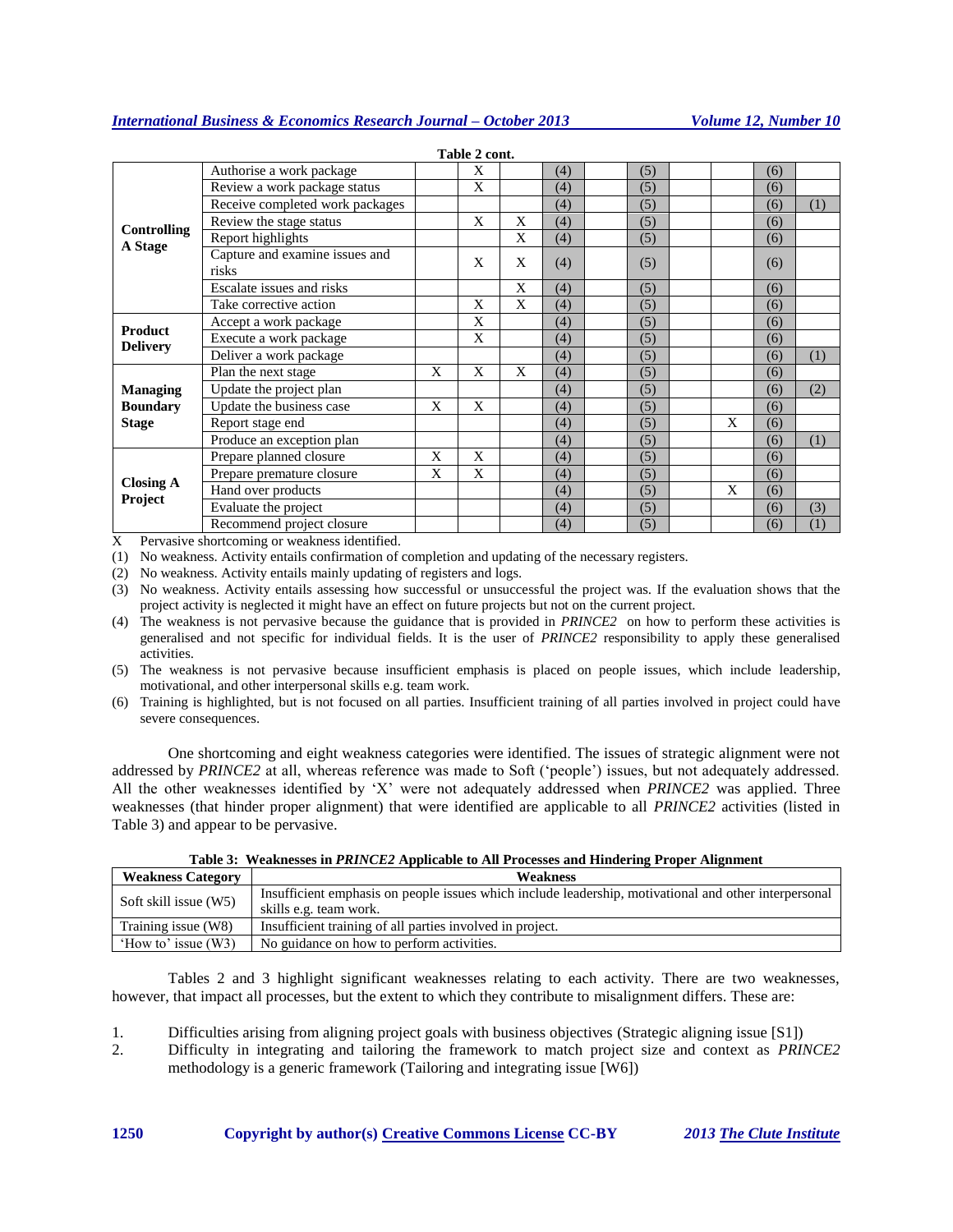|                             |                                         |   | таок 4 соць |   |     |     |   |     |     |
|-----------------------------|-----------------------------------------|---|-------------|---|-----|-----|---|-----|-----|
|                             | Authorise a work package                |   | X           |   | (4) | (5) |   | (6) |     |
|                             | Review a work package status            |   | X           |   | (4) | (5) |   | (6) |     |
|                             | Receive completed work packages         |   |             |   | (4) | (5) |   | (6) | (1) |
|                             | Review the stage status                 |   | X           | X | (4) | (5) |   | (6) |     |
| <b>Controlling</b>          | Report highlights                       |   |             | X | (4) | (5) |   | (6) |     |
| A Stage                     | Capture and examine issues and<br>risks |   | X           | X | (4) | (5) |   | (6) |     |
|                             | <b>Escalate</b> issues and risks        |   |             | X | (4) | (5) |   | (6) |     |
|                             | Take corrective action                  |   | X           | X | (4) | (5) |   | (6) |     |
| <b>Product</b>              | Accept a work package                   |   | X           |   | (4) | (5) |   | (6) |     |
| <b>Delivery</b>             | Execute a work package                  |   | X           |   | (4) | (5) |   | (6) |     |
|                             | Deliver a work package                  |   |             |   | (4) | (5) |   | (6) | (1) |
|                             | Plan the next stage                     | X | X           | X | (4) | (5) |   | (6) |     |
| <b>Managing</b>             | Update the project plan                 |   |             |   | (4) | (5) |   | (6) | (2) |
| <b>Boundary</b>             | Update the business case                | X | X           |   | (4) | (5) |   | (6) |     |
| <b>Stage</b>                | Report stage end                        |   |             |   | (4) | (5) | X | (6) |     |
|                             | Produce an exception plan               |   |             |   | (4) | (5) |   | (6) | (1) |
|                             | Prepare planned closure                 | X | X           |   | (4) | (5) |   | (6) |     |
|                             | Prepare premature closure               | X | X           |   | (4) | (5) |   | (6) |     |
| <b>Closing A</b><br>Project | Hand over products                      |   |             |   | (4) | (5) | X | (6) |     |
|                             | Evaluate the project                    |   |             |   | (4) | (5) |   | (6) | (3) |
|                             | Recommend project closure               |   |             |   | (4) | (5) |   | (6) | (1) |

**Table 2 cont.**

X Pervasive shortcoming or weakness identified.

(1) No weakness. Activity entails confirmation of completion and updating of the necessary registers.

(2) No weakness. Activity entails mainly updating of registers and logs.

(3) No weakness. Activity entails assessing how successful or unsuccessful the project was. If the evaluation shows that the project activity is neglected it might have an effect on future projects but not on the current project.

(4) The weakness is not pervasive because the guidance that is provided in *PRINCE2* on how to perform these activities is generalised and not specific for individual fields. It is the user of *PRINCE2* responsibility to apply these generalised activities.

(5) The weakness is not pervasive because insufficient emphasis is placed on people issues, which include leadership, motivational, and other interpersonal skills e.g. team work.

(6) Training is highlighted, but is not focused on all parties. Insufficient training of all parties involved in project could have severe consequences.

One shortcoming and eight weakness categories were identified. The issues of strategic alignment were not addressed by *PRINCE2* at all, whereas reference was made to Soft ('people') issues, but not adequately addressed. All the other weaknesses identified by 'X' were not adequately addressed when *PRINCE2* was applied. Three weaknesses (that hinder proper alignment) that were identified are applicable to all *PRINCE2* activities (listed in Table 3) and appear to be pervasive.

|                          | Tuble of theminibood in Fight Code repplicable to the Frocesses and Thingering Froper This information |  |  |  |  |  |  |  |  |
|--------------------------|--------------------------------------------------------------------------------------------------------|--|--|--|--|--|--|--|--|
| <b>Weakness Category</b> | <b>Weakness</b>                                                                                        |  |  |  |  |  |  |  |  |
| Soft skill issue (W5)    | Insufficient emphasis on people issues which include leadership, motivational and other interpersonal  |  |  |  |  |  |  |  |  |
|                          | skills e.g. team work.                                                                                 |  |  |  |  |  |  |  |  |
| Training issue (W8)      | Insufficient training of all parties involved in project.                                              |  |  |  |  |  |  |  |  |
| 'How to' issue $(W3)$    | No guidance on how to perform activities.                                                              |  |  |  |  |  |  |  |  |

**Table 3: Weaknesses in** *PRINCE2* **Applicable to All Processes and Hindering Proper Alignment**

Tables 2 and 3 highlight significant weaknesses relating to each activity. There are two weaknesses, however, that impact all processes, but the extent to which they contribute to misalignment differs. These are:

- 1. Difficulties arising from aligning project goals with business objectives (Strategic aligning issue [S1])
- 2. Difficulty in integrating and tailoring the framework to match project size and context as *PRINCE2* methodology is a generic framework (Tailoring and integrating issue [W6])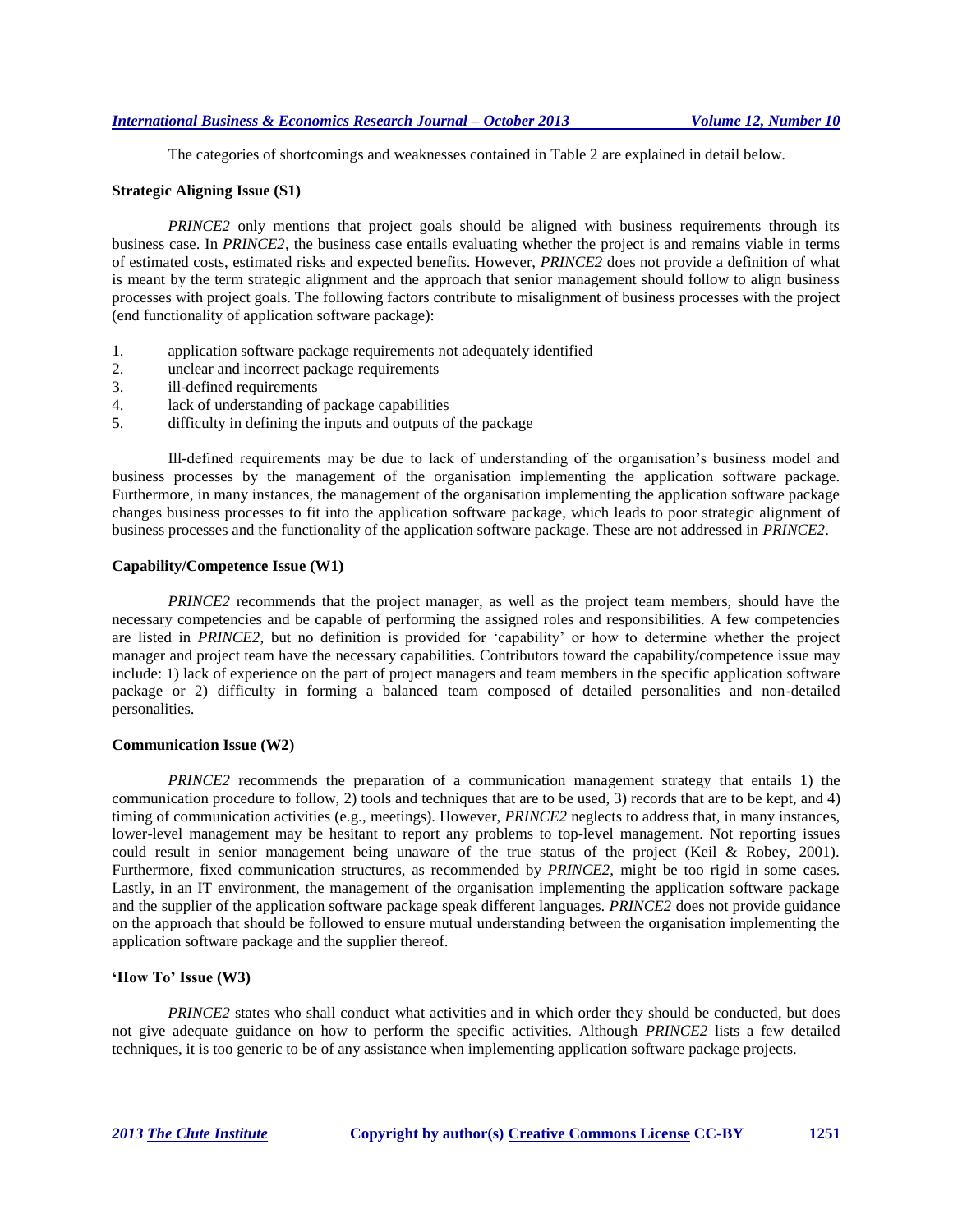The categories of shortcomings and weaknesses contained in Table 2 are explained in detail below.

#### **Strategic Aligning Issue (S1)**

*PRINCE2* only mentions that project goals should be aligned with business requirements through its business case. In *PRINCE2*, the business case entails evaluating whether the project is and remains viable in terms of estimated costs, estimated risks and expected benefits. However, *PRINCE2* does not provide a definition of what is meant by the term strategic alignment and the approach that senior management should follow to align business processes with project goals. The following factors contribute to misalignment of business processes with the project (end functionality of application software package):

- 1. application software package requirements not adequately identified
- 2. unclear and incorrect package requirements
- 3. ill-defined requirements
- 4. lack of understanding of package capabilities
- 5. difficulty in defining the inputs and outputs of the package

Ill-defined requirements may be due to lack of understanding of the organisation's business model and business processes by the management of the organisation implementing the application software package. Furthermore, in many instances, the management of the organisation implementing the application software package changes business processes to fit into the application software package, which leads to poor strategic alignment of business processes and the functionality of the application software package. These are not addressed in *PRINCE2*.

#### **Capability/Competence Issue (W1)**

*PRINCE2* recommends that the project manager, as well as the project team members, should have the necessary competencies and be capable of performing the assigned roles and responsibilities. A few competencies are listed in *PRINCE2*, but no definition is provided for 'capability' or how to determine whether the project manager and project team have the necessary capabilities. Contributors toward the capability/competence issue may include: 1) lack of experience on the part of project managers and team members in the specific application software package or 2) difficulty in forming a balanced team composed of detailed personalities and non-detailed personalities.

#### **Communication Issue (W2)**

*PRINCE2* recommends the preparation of a communication management strategy that entails 1) the communication procedure to follow, 2) tools and techniques that are to be used, 3) records that are to be kept, and 4) timing of communication activities (e.g., meetings). However, *PRINCE2* neglects to address that, in many instances, lower-level management may be hesitant to report any problems to top-level management. Not reporting issues could result in senior management being unaware of the true status of the project (Keil & Robey, 2001). Furthermore, fixed communication structures, as recommended by *PRINCE2,* might be too rigid in some cases. Lastly, in an IT environment, the management of the organisation implementing the application software package and the supplier of the application software package speak different languages. *PRINCE2* does not provide guidance on the approach that should be followed to ensure mutual understanding between the organisation implementing the application software package and the supplier thereof.

# **'How To' Issue (W3)**

*PRINCE2* states who shall conduct what activities and in which order they should be conducted, but does not give adequate guidance on how to perform the specific activities. Although *PRINCE2* lists a few detailed techniques, it is too generic to be of any assistance when implementing application software package projects.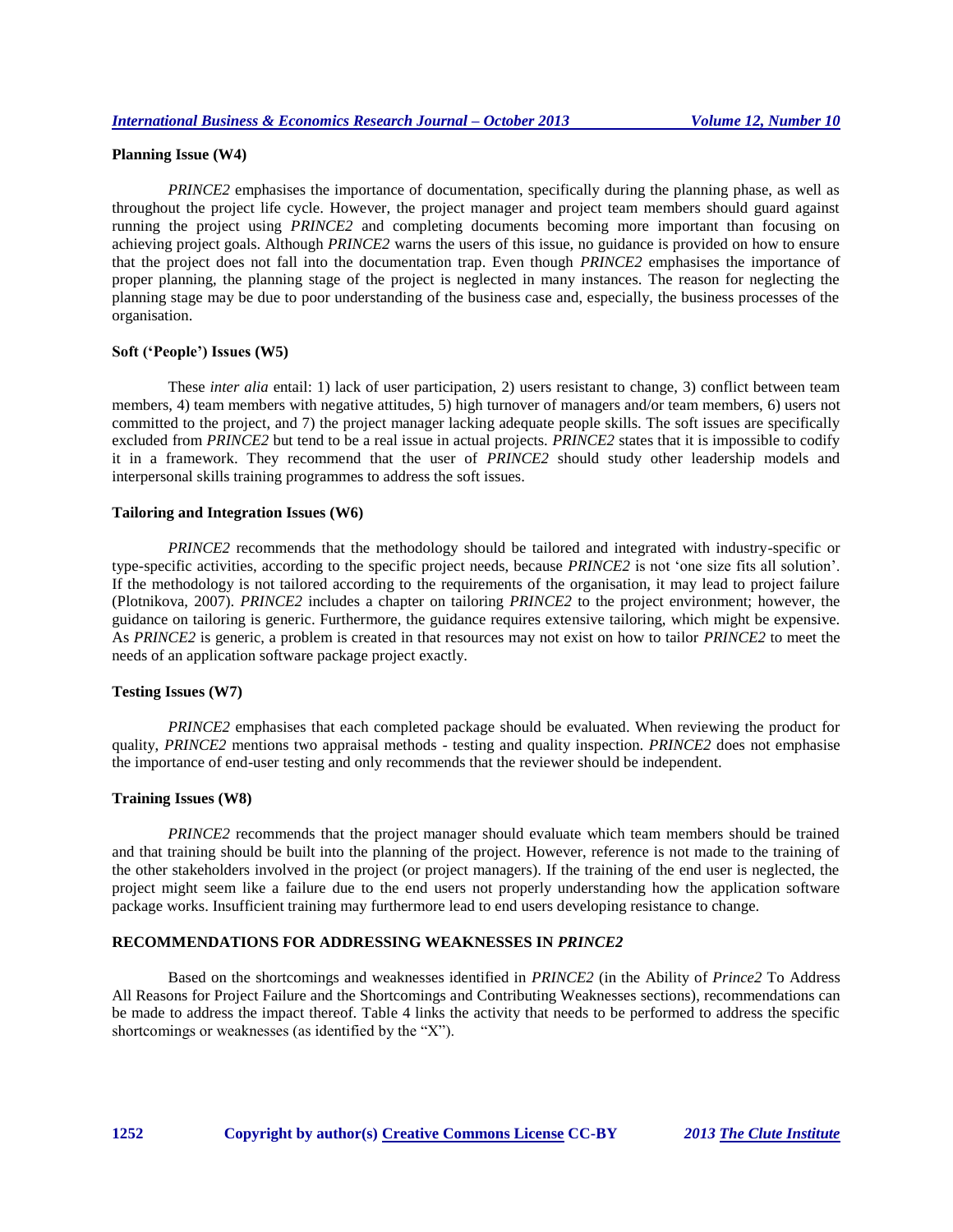# **Planning Issue (W4)**

*PRINCE2* emphasises the importance of documentation, specifically during the planning phase, as well as throughout the project life cycle. However, the project manager and project team members should guard against running the project using *PRINCE2* and completing documents becoming more important than focusing on achieving project goals. Although *PRINCE2* warns the users of this issue, no guidance is provided on how to ensure that the project does not fall into the documentation trap. Even though *PRINCE2* emphasises the importance of proper planning, the planning stage of the project is neglected in many instances. The reason for neglecting the planning stage may be due to poor understanding of the business case and, especially, the business processes of the organisation.

#### **Soft ('People') Issues (W5)**

These *inter alia* entail: 1) lack of user participation, 2) users resistant to change, 3) conflict between team members, 4) team members with negative attitudes, 5) high turnover of managers and/or team members, 6) users not committed to the project, and 7) the project manager lacking adequate people skills. The soft issues are specifically excluded from *PRINCE2* but tend to be a real issue in actual projects. *PRINCE2* states that it is impossible to codify it in a framework. They recommend that the user of *PRINCE2* should study other leadership models and interpersonal skills training programmes to address the soft issues.

#### **Tailoring and Integration Issues (W6)**

*PRINCE2* recommends that the methodology should be tailored and integrated with industry-specific or type-specific activities, according to the specific project needs, because *PRINCE2* is not 'one size fits all solution'. If the methodology is not tailored according to the requirements of the organisation, it may lead to project failure (Plotnikova, 2007). *PRINCE2* includes a chapter on tailoring *PRINCE2* to the project environment; however, the guidance on tailoring is generic. Furthermore, the guidance requires extensive tailoring, which might be expensive. As *PRINCE2* is generic, a problem is created in that resources may not exist on how to tailor *PRINCE2* to meet the needs of an application software package project exactly.

# **Testing Issues (W7)**

*PRINCE2* emphasises that each completed package should be evaluated. When reviewing the product for quality, *PRINCE2* mentions two appraisal methods - testing and quality inspection. *PRINCE2* does not emphasise the importance of end-user testing and only recommends that the reviewer should be independent.

## **Training Issues (W8)**

*PRINCE2* recommends that the project manager should evaluate which team members should be trained and that training should be built into the planning of the project. However, reference is not made to the training of the other stakeholders involved in the project (or project managers). If the training of the end user is neglected, the project might seem like a failure due to the end users not properly understanding how the application software package works. Insufficient training may furthermore lead to end users developing resistance to change.

# **RECOMMENDATIONS FOR ADDRESSING WEAKNESSES IN** *PRINCE2*

Based on the shortcomings and weaknesses identified in *PRINCE2* (in the Ability of *Prince2* To Address All Reasons for Project Failure and the Shortcomings and Contributing Weaknesses sections), recommendations can be made to address the impact thereof. Table 4 links the activity that needs to be performed to address the specific shortcomings or weaknesses (as identified by the "X").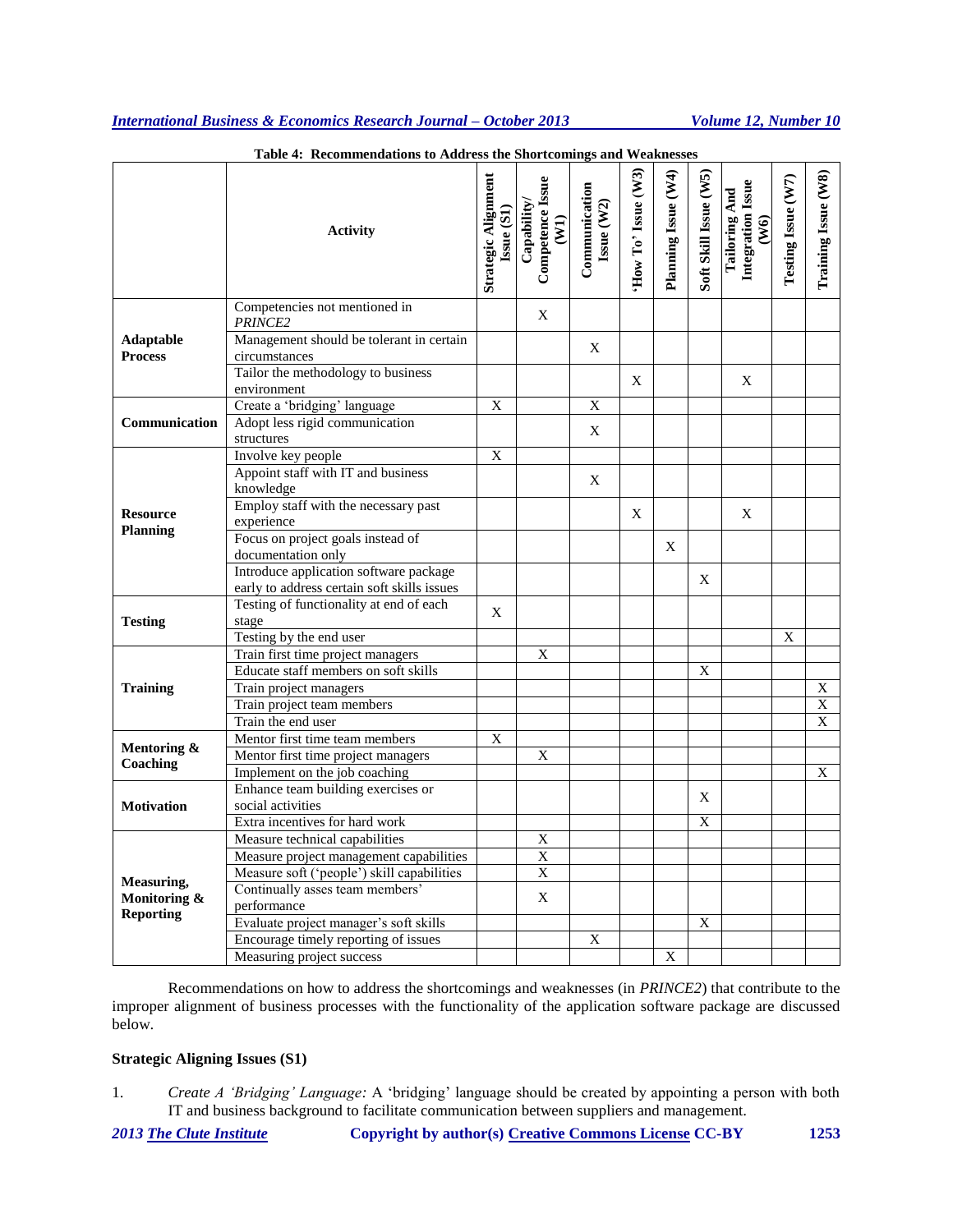|                                    | Accommendations to Audi ess the Shortcomings and Weaknesses |                                   |                                         |                             |                   |                     |                       |                                            |                    |                                        |
|------------------------------------|-------------------------------------------------------------|-----------------------------------|-----------------------------------------|-----------------------------|-------------------|---------------------|-----------------------|--------------------------------------------|--------------------|----------------------------------------|
|                                    | <b>Activity</b>                                             | Strategic Alignment<br>Issue (S1) | Competence Issue<br>(W1)<br>Capability/ | Communication<br>Issue (W2) | How To' Isse (W3) | Planning Issue (W4) | Soft Skill Issue (W5) | Integration Issue<br>Tailoring And<br>(W6) | Testing Issue (W7) | Training Issue (W8)                    |
|                                    | Competencies not mentioned in<br>PRINCE <sub>2</sub>        |                                   | X                                       |                             |                   |                     |                       |                                            |                    |                                        |
| <b>Adaptable</b><br><b>Process</b> | Management should be tolerant in certain<br>circumstances   |                                   |                                         | X                           |                   |                     |                       |                                            |                    |                                        |
|                                    | Tailor the methodology to business<br>environment           |                                   |                                         |                             | X                 |                     |                       | X                                          |                    |                                        |
|                                    | Create a 'bridging' language                                | X                                 |                                         | X                           |                   |                     |                       |                                            |                    |                                        |
| Communication                      | Adopt less rigid communication<br>structures                |                                   |                                         | X                           |                   |                     |                       |                                            |                    |                                        |
|                                    | Involve key people                                          |                                   |                                         |                             |                   |                     |                       |                                            |                    |                                        |
|                                    | Appoint staff with IT and business                          | X                                 |                                         |                             |                   |                     |                       |                                            |                    |                                        |
|                                    | knowledge                                                   |                                   |                                         | X                           |                   |                     |                       |                                            |                    |                                        |
| <b>Resource</b>                    | Employ staff with the necessary past                        |                                   |                                         |                             | X                 |                     |                       | X                                          |                    |                                        |
| <b>Planning</b>                    | experience                                                  |                                   |                                         |                             |                   |                     |                       |                                            |                    |                                        |
|                                    | Focus on project goals instead of                           |                                   |                                         |                             |                   | X                   |                       |                                            |                    |                                        |
|                                    | documentation only                                          |                                   |                                         |                             |                   |                     |                       |                                            |                    |                                        |
|                                    | Introduce application software package                      |                                   |                                         |                             |                   |                     | X                     |                                            |                    |                                        |
|                                    | early to address certain soft skills issues                 |                                   |                                         |                             |                   |                     |                       |                                            |                    |                                        |
|                                    | Testing of functionality at end of each                     | X                                 |                                         |                             |                   |                     |                       |                                            |                    |                                        |
| <b>Testing</b>                     | stage                                                       |                                   |                                         |                             |                   |                     |                       |                                            |                    |                                        |
|                                    | Testing by the end user                                     |                                   |                                         |                             |                   |                     |                       |                                            | X                  |                                        |
|                                    | Train first time project managers                           |                                   | X                                       |                             |                   |                     |                       |                                            |                    |                                        |
|                                    | Educate staff members on soft skills                        |                                   |                                         |                             |                   |                     | X                     |                                            |                    |                                        |
| <b>Training</b>                    | Train project managers                                      |                                   |                                         |                             |                   |                     |                       |                                            |                    | $\mathbf X$<br>$\overline{\textbf{X}}$ |
|                                    | Train project team members<br>Train the end user            |                                   |                                         |                             |                   |                     |                       |                                            |                    | $\overline{X}$                         |
|                                    | Mentor first time team members                              | X                                 |                                         |                             |                   |                     |                       |                                            |                    |                                        |
| Mentoring &                        | Mentor first time project managers                          |                                   | $\overline{X}$                          |                             |                   |                     |                       |                                            |                    |                                        |
| Coaching                           | Implement on the job coaching                               |                                   |                                         |                             |                   |                     |                       |                                            |                    | X                                      |
|                                    | Enhance team building exercises or                          |                                   |                                         |                             |                   |                     |                       |                                            |                    |                                        |
| <b>Motivation</b>                  | social activities                                           |                                   |                                         |                             |                   |                     | X                     |                                            |                    |                                        |
|                                    | Extra incentives for hard work                              |                                   |                                         |                             |                   |                     | X                     |                                            |                    |                                        |
|                                    | Measure technical capabilities                              |                                   | $\mathbf X$                             |                             |                   |                     |                       |                                            |                    |                                        |
|                                    | Measure project management capabilities                     |                                   | $\overline{X}$                          |                             |                   |                     |                       |                                            |                    |                                        |
|                                    | Measure soft ('people') skill capabilities                  |                                   | $\overline{X}$                          |                             |                   |                     |                       |                                            |                    |                                        |
| Measuring,                         | Continually asses team members'                             |                                   |                                         |                             |                   |                     |                       |                                            |                    |                                        |
| Monitoring &                       | performance                                                 |                                   | X                                       |                             |                   |                     |                       |                                            |                    |                                        |
| <b>Reporting</b>                   | Evaluate project manager's soft skills                      |                                   |                                         |                             |                   |                     | X                     |                                            |                    |                                        |
|                                    | Encourage timely reporting of issues                        |                                   |                                         | X                           |                   |                     |                       |                                            |                    |                                        |
|                                    | Measuring project success                                   |                                   |                                         |                             |                   | X                   |                       |                                            |                    |                                        |

**Table 4: Recommendations to Address the Shortcomings and Weaknesses**

Recommendations on how to address the shortcomings and weaknesses (in *PRINCE2*) that contribute to the improper alignment of business processes with the functionality of the application software package are discussed below.

# **Strategic Aligning Issues (S1)**

- 1. *Create A 'Bridging' Language:* A 'bridging' language should be created by appointing a person with both IT and business background to facilitate communication between suppliers and management.
-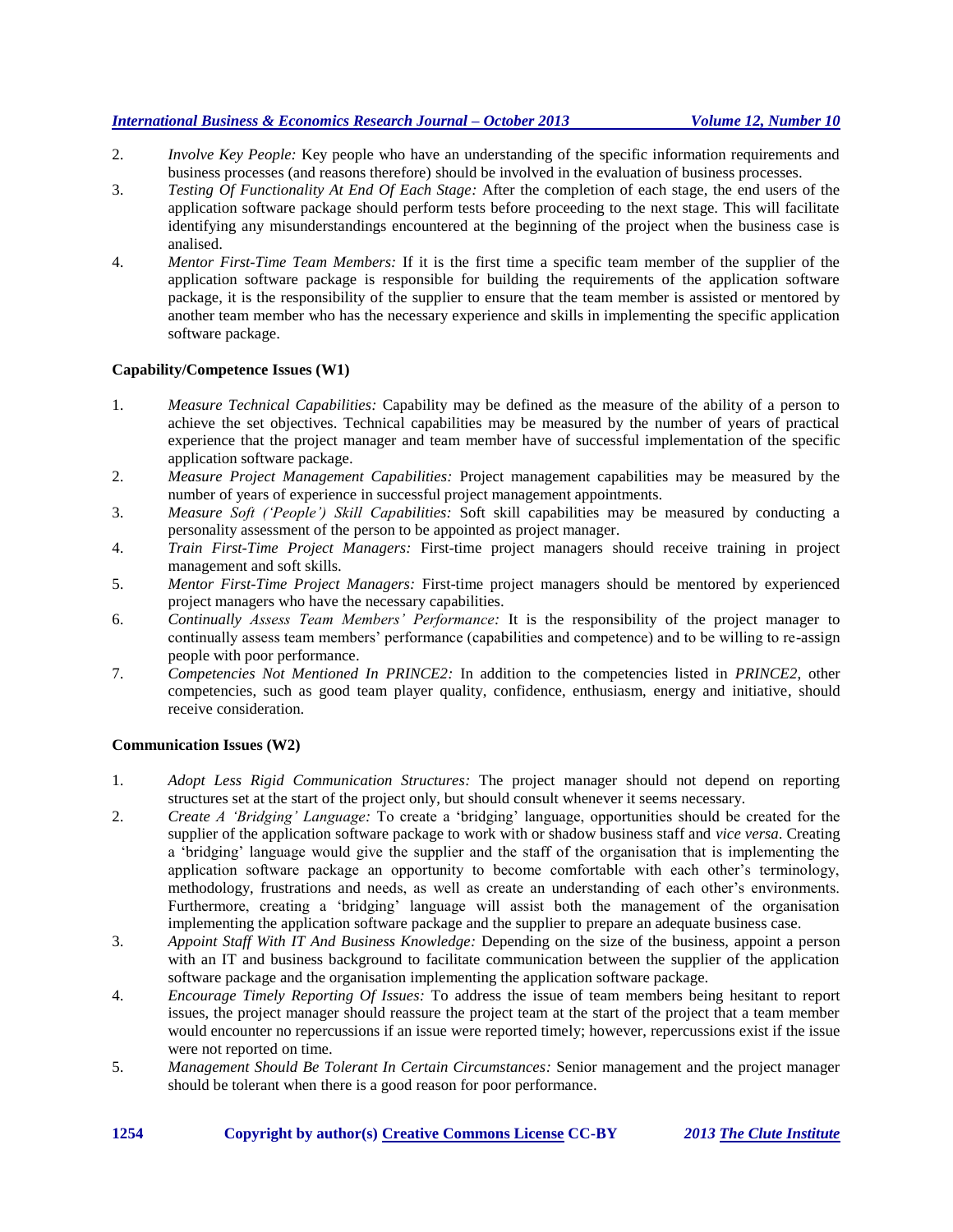- 2. *Involve Key People:* Key people who have an understanding of the specific information requirements and business processes (and reasons therefore) should be involved in the evaluation of business processes.
- 3. *Testing Of Functionality At End Of Each Stage:* After the completion of each stage, the end users of the application software package should perform tests before proceeding to the next stage. This will facilitate identifying any misunderstandings encountered at the beginning of the project when the business case is analised.
- 4. *Mentor First-Time Team Members:* If it is the first time a specific team member of the supplier of the application software package is responsible for building the requirements of the application software package, it is the responsibility of the supplier to ensure that the team member is assisted or mentored by another team member who has the necessary experience and skills in implementing the specific application software package.

## **Capability/Competence Issues (W1)**

- 1. *Measure Technical Capabilities:* Capability may be defined as the measure of the ability of a person to achieve the set objectives. Technical capabilities may be measured by the number of years of practical experience that the project manager and team member have of successful implementation of the specific application software package.
- 2. *Measure Project Management Capabilities:* Project management capabilities may be measured by the number of years of experience in successful project management appointments.
- 3. *Measure Soft ('People') Skill Capabilities:* Soft skill capabilities may be measured by conducting a personality assessment of the person to be appointed as project manager.
- 4. *Train First-Time Project Managers:* First-time project managers should receive training in project management and soft skills.
- 5. *Mentor First-Time Project Managers:* First-time project managers should be mentored by experienced project managers who have the necessary capabilities.
- 6. *Continually Assess Team Members' Performance:* It is the responsibility of the project manager to continually assess team members' performance (capabilities and competence) and to be willing to re-assign people with poor performance.
- 7. *Competencies Not Mentioned In PRINCE2:* In addition to the competencies listed in *PRINCE2*, other competencies, such as good team player quality, confidence, enthusiasm, energy and initiative, should receive consideration.

# **Communication Issues (W2)**

- 1. *Adopt Less Rigid Communication Structures:* The project manager should not depend on reporting structures set at the start of the project only, but should consult whenever it seems necessary.
- 2. *Create A 'Bridging' Language:* To create a 'bridging' language, opportunities should be created for the supplier of the application software package to work with or shadow business staff and *vice versa*. Creating a 'bridging' language would give the supplier and the staff of the organisation that is implementing the application software package an opportunity to become comfortable with each other's terminology, methodology, frustrations and needs, as well as create an understanding of each other's environments. Furthermore, creating a 'bridging' language will assist both the management of the organisation implementing the application software package and the supplier to prepare an adequate business case.
- 3. *Appoint Staff With IT And Business Knowledge:* Depending on the size of the business, appoint a person with an IT and business background to facilitate communication between the supplier of the application software package and the organisation implementing the application software package.
- 4. *Encourage Timely Reporting Of Issues:* To address the issue of team members being hesitant to report issues, the project manager should reassure the project team at the start of the project that a team member would encounter no repercussions if an issue were reported timely; however, repercussions exist if the issue were not reported on time.
- 5. *Management Should Be Tolerant In Certain Circumstances:* Senior management and the project manager should be tolerant when there is a good reason for poor performance.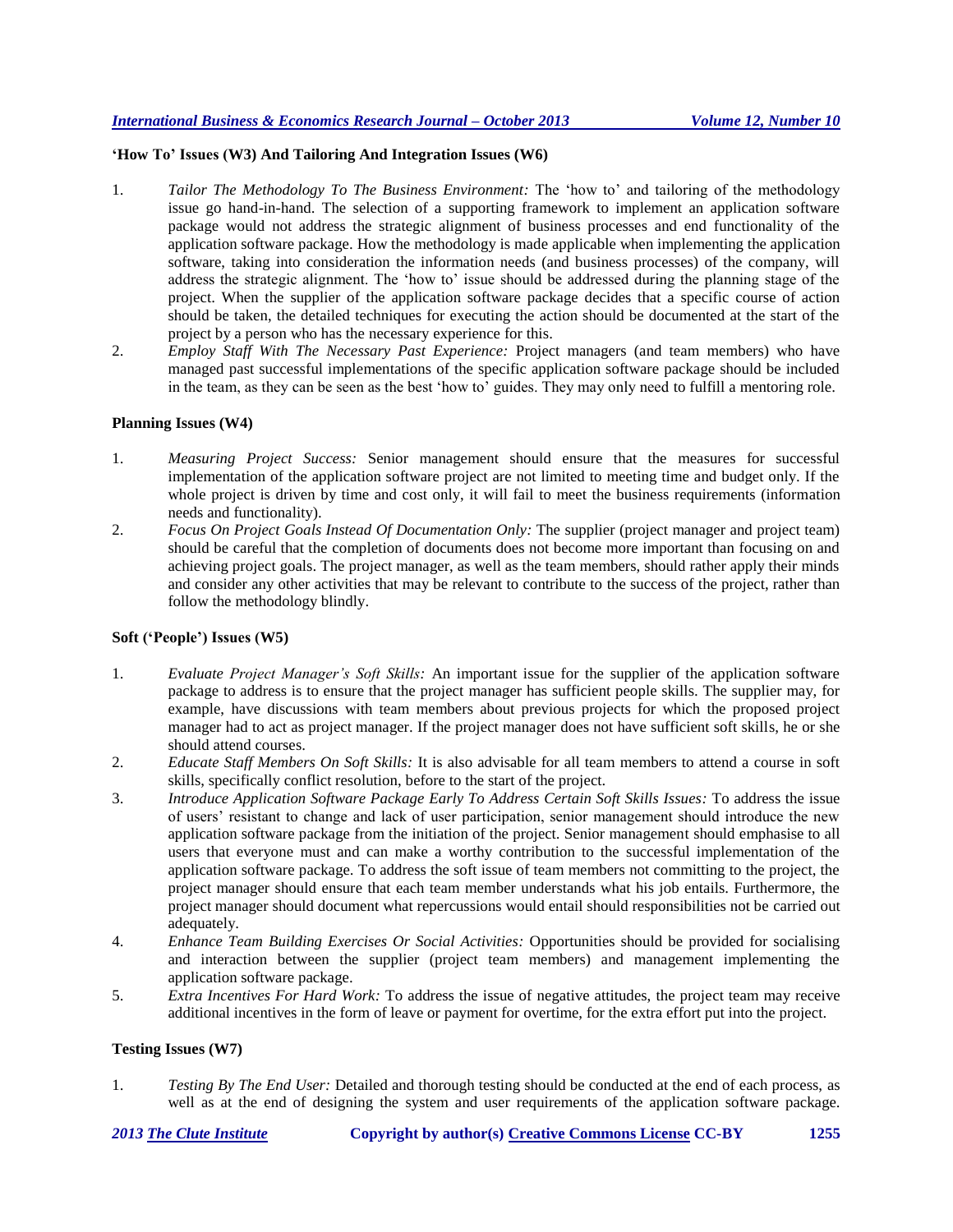# **'How To' Issues (W3) And Tailoring And Integration Issues (W6)**

- 1. *Tailor The Methodology To The Business Environment:* The 'how to' and tailoring of the methodology issue go hand-in-hand. The selection of a supporting framework to implement an application software package would not address the strategic alignment of business processes and end functionality of the application software package. How the methodology is made applicable when implementing the application software, taking into consideration the information needs (and business processes) of the company, will address the strategic alignment. The 'how to' issue should be addressed during the planning stage of the project. When the supplier of the application software package decides that a specific course of action should be taken, the detailed techniques for executing the action should be documented at the start of the project by a person who has the necessary experience for this.
- 2. *Employ Staff With The Necessary Past Experience:* Project managers (and team members) who have managed past successful implementations of the specific application software package should be included in the team, as they can be seen as the best 'how to' guides. They may only need to fulfill a mentoring role.

# **Planning Issues (W4)**

- 1. *Measuring Project Success:* Senior management should ensure that the measures for successful implementation of the application software project are not limited to meeting time and budget only. If the whole project is driven by time and cost only, it will fail to meet the business requirements (information needs and functionality).
- 2. *Focus On Project Goals Instead Of Documentation Only:* The supplier (project manager and project team) should be careful that the completion of documents does not become more important than focusing on and achieving project goals. The project manager, as well as the team members, should rather apply their minds and consider any other activities that may be relevant to contribute to the success of the project, rather than follow the methodology blindly.

# **Soft ('People') Issues (W5)**

- 1. *Evaluate Project Manager's Soft Skills:* An important issue for the supplier of the application software package to address is to ensure that the project manager has sufficient people skills. The supplier may, for example, have discussions with team members about previous projects for which the proposed project manager had to act as project manager. If the project manager does not have sufficient soft skills, he or she should attend courses.
- 2. *Educate Staff Members On Soft Skills:* It is also advisable for all team members to attend a course in soft skills, specifically conflict resolution, before to the start of the project.
- 3. *Introduce Application Software Package Early To Address Certain Soft Skills Issues:* To address the issue of users' resistant to change and lack of user participation, senior management should introduce the new application software package from the initiation of the project. Senior management should emphasise to all users that everyone must and can make a worthy contribution to the successful implementation of the application software package. To address the soft issue of team members not committing to the project, the project manager should ensure that each team member understands what his job entails. Furthermore, the project manager should document what repercussions would entail should responsibilities not be carried out adequately.
- 4. *Enhance Team Building Exercises Or Social Activities:* Opportunities should be provided for socialising and interaction between the supplier (project team members) and management implementing the application software package.
- 5. *Extra Incentives For Hard Work:* To address the issue of negative attitudes, the project team may receive additional incentives in the form of leave or payment for overtime, for the extra effort put into the project.

# **Testing Issues (W7)**

1. *Testing By The End User:* Detailed and thorough testing should be conducted at the end of each process, as well as at the end of designing the system and user requirements of the application software package.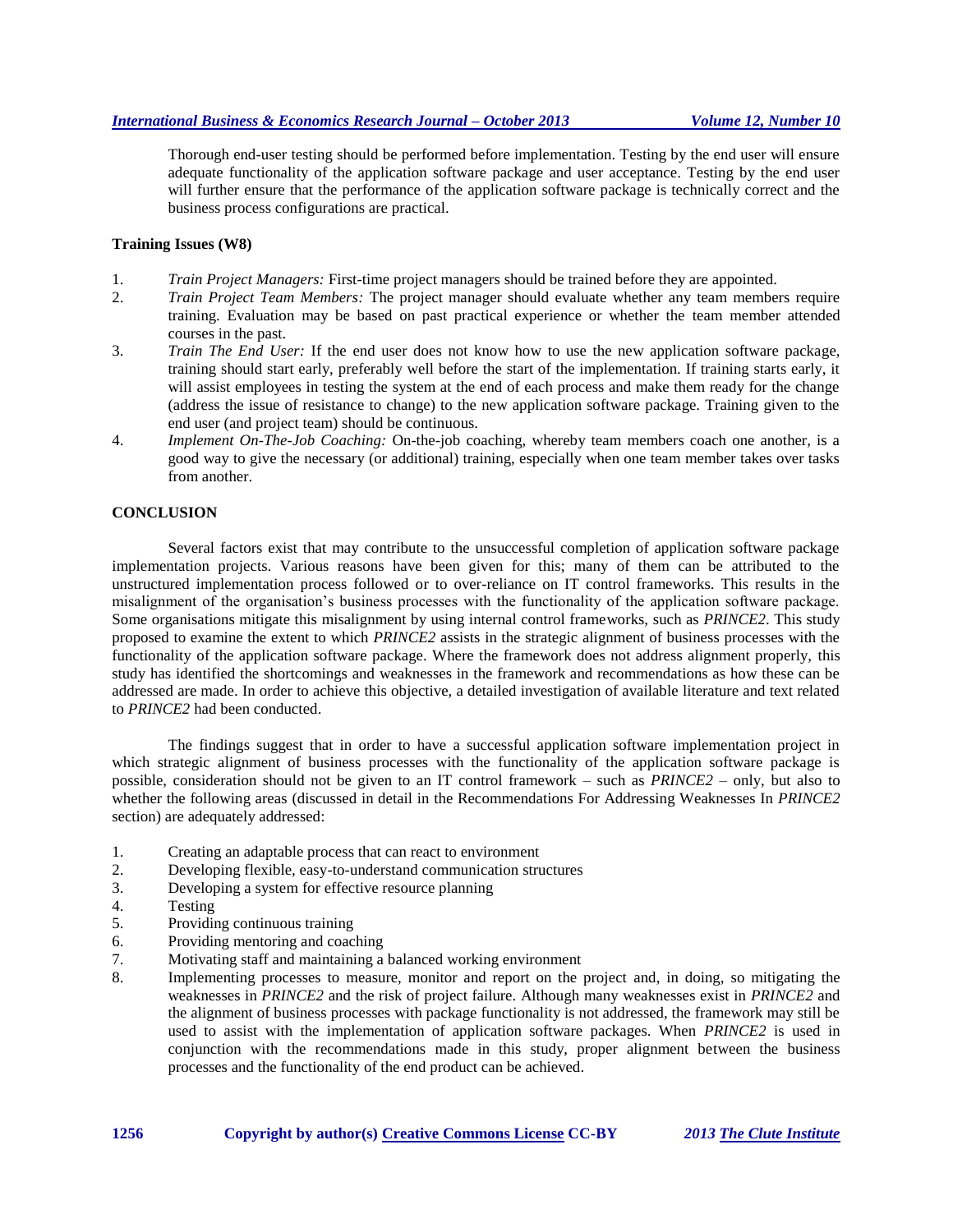Thorough end-user testing should be performed before implementation. Testing by the end user will ensure adequate functionality of the application software package and user acceptance. Testing by the end user will further ensure that the performance of the application software package is technically correct and the business process configurations are practical.

# **Training Issues (W8)**

- 1. *Train Project Managers:* First-time project managers should be trained before they are appointed.
- 2. *Train Project Team Members:* The project manager should evaluate whether any team members require training. Evaluation may be based on past practical experience or whether the team member attended courses in the past.
- 3. *Train The End User:* If the end user does not know how to use the new application software package, training should start early, preferably well before the start of the implementation. If training starts early, it will assist employees in testing the system at the end of each process and make them ready for the change (address the issue of resistance to change) to the new application software package. Training given to the end user (and project team) should be continuous.
- 4. *Implement On-The-Job Coaching:* On-the-job coaching, whereby team members coach one another, is a good way to give the necessary (or additional) training, especially when one team member takes over tasks from another.

# **CONCLUSION**

Several factors exist that may contribute to the unsuccessful completion of application software package implementation projects. Various reasons have been given for this; many of them can be attributed to the unstructured implementation process followed or to over-reliance on IT control frameworks. This results in the misalignment of the organisation's business processes with the functionality of the application software package. Some organisations mitigate this misalignment by using internal control frameworks, such as *PRINCE2*. This study proposed to examine the extent to which *PRINCE2* assists in the strategic alignment of business processes with the functionality of the application software package. Where the framework does not address alignment properly, this study has identified the shortcomings and weaknesses in the framework and recommendations as how these can be addressed are made. In order to achieve this objective, a detailed investigation of available literature and text related to *PRINCE2* had been conducted.

The findings suggest that in order to have a successful application software implementation project in which strategic alignment of business processes with the functionality of the application software package is possible, consideration should not be given to an IT control framework – such as *PRINCE2 –* only, but also to whether the following areas (discussed in detail in the Recommendations For Addressing Weaknesses In *PRINCE2* section) are adequately addressed:

- 1. Creating an adaptable process that can react to environment
- 2. Developing flexible, easy-to-understand communication structures
- 3. Developing a system for effective resource planning
- 4. Testing
- 5. Providing continuous training
- 6. Providing mentoring and coaching
- 7. Motivating staff and maintaining a balanced working environment
- 8. Implementing processes to measure, monitor and report on the project and, in doing, so mitigating the weaknesses in *PRINCE2* and the risk of project failure. Although many weaknesses exist in *PRINCE2* and the alignment of business processes with package functionality is not addressed, the framework may still be used to assist with the implementation of application software packages. When *PRINCE2* is used in conjunction with the recommendations made in this study, proper alignment between the business processes and the functionality of the end product can be achieved.

**1256 Copyright by author(s) [Creative Commons License](http://creativecommons.org/licenses/by/3.0/) CC-BY** *2013 [The Clute Institute](http://www.cluteinstitute.com/)*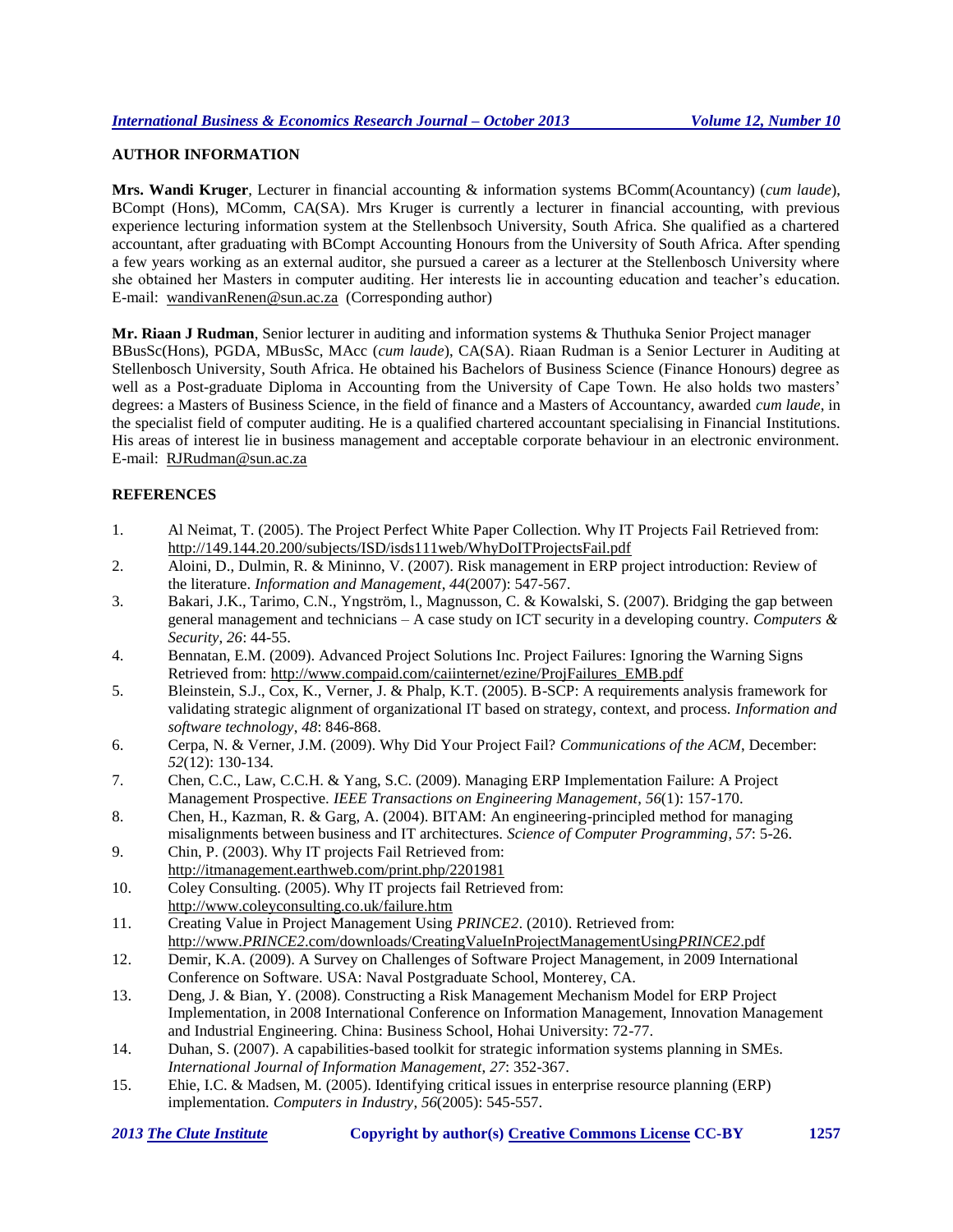# **AUTHOR INFORMATION**

**Mrs. Wandi Kruger**, Lecturer in financial accounting & information systems BComm(Acountancy) (*cum laude*), BCompt (Hons), MComm, CA(SA). Mrs Kruger is currently a lecturer in financial accounting, with previous experience lecturing information system at the Stellenbsoch University, South Africa. She qualified as a chartered accountant, after graduating with BCompt Accounting Honours from the University of South Africa. After spending a few years working as an external auditor, she pursued a career as a lecturer at the Stellenbosch University where she obtained her Masters in computer auditing. Her interests lie in accounting education and teacher's education. E-mail: [wandivanRenen@sun.ac.za](mailto:wandivanRenen@sun.ac.za) (Corresponding author)

**Mr. Riaan J Rudman**, Senior lecturer in auditing and information systems & Thuthuka Senior Project manager BBusSc(Hons), PGDA, MBusSc, MAcc (*cum laude*), CA(SA). Riaan Rudman is a Senior Lecturer in Auditing at Stellenbosch University, South Africa. He obtained his Bachelors of Business Science (Finance Honours) degree as well as a Post-graduate Diploma in Accounting from the University of Cape Town. He also holds two masters' degrees: a Masters of Business Science, in the field of finance and a Masters of Accountancy, awarded *cum laude*, in the specialist field of computer auditing. He is a qualified chartered accountant specialising in Financial Institutions. His areas of interest lie in business management and acceptable corporate behaviour in an electronic environment. E-mail: RJRudman@sun.ac.za

# **REFERENCES**

- 1. Al Neimat, T. (2005). The Project Perfect White Paper Collection. Why IT Projects Fail Retrieved from: http://149.144.20.200/subjects/ISD/isds111web/WhyDoITProjectsFail.pdf
- 2. Aloini, D., Dulmin, R. & Mininno, V. (2007). Risk management in ERP project introduction: Review of the literature. *Information and Management*, *44*(2007): 547-567.
- 3. Bakari, J.K., Tarimo, C.N., Yngström, l., Magnusson, C. & Kowalski, S. (2007). Bridging the gap between general management and technicians – A case study on ICT security in a developing country. *Computers & Security*, *26*: 44-55.
- 4. Bennatan, E.M. (2009). Advanced Project Solutions Inc. Project Failures: Ignoring the Warning Signs Retrieved from: http://www.compaid.com/caiinternet/ezine/ProjFailures\_EMB.pdf
- 5. Bleinstein, S.J., Cox, K., Verner, J. & Phalp, K.T. (2005). B-SCP: A requirements analysis framework for validating strategic alignment of organizational IT based on strategy, context, and process. *Information and software technology*, *48*: 846-868.
- 6. Cerpa, N. & Verner, J.M. (2009). Why Did Your Project Fail? *Communications of the ACM*, December: *52*(12): 130-134.
- 7. Chen, C.C., Law, C.C.H. & Yang, S.C. (2009). Managing ERP Implementation Failure: A Project Management Prospective. *IEEE Transactions on Engineering Management*, *56*(1): 157-170.
- 8. Chen, H., Kazman, R. & Garg, A. (2004). BITAM: An engineering-principled method for managing misalignments between business and IT architectures. *Science of Computer Programming*, *57*: 5-26.
- 9. Chin, P. (2003). Why IT projects Fail Retrieved from: http://itmanagement.earthweb.com/print.php/2201981
- 10. Coley Consulting. (2005). Why IT projects fail Retrieved from: http://www.coleyconsulting.co.uk/failure.htm
- 11. Creating Value in Project Management Using *PRINCE2*. (2010). Retrieved from: http://www.*PRINCE2*.com/downloads/CreatingValueInProjectManagementUsing*PRINCE2*.pdf
- 12. Demir, K.A. (2009). A Survey on Challenges of Software Project Management, in 2009 International Conference on Software. USA: Naval Postgraduate School, Monterey, CA.
- 13. Deng, J. & Bian, Y. (2008). Constructing a Risk Management Mechanism Model for ERP Project Implementation, in 2008 International Conference on Information Management, Innovation Management and Industrial Engineering. China: Business School, Hohai University: 72-77.
- 14. Duhan, S. (2007). A capabilities-based toolkit for strategic information systems planning in SMEs. *International Journal of Information Management*, *27*: 352-367.
- 15. Ehie, I.C. & Madsen, M. (2005). Identifying critical issues in enterprise resource planning (ERP) implementation. *Computers in Industry*, *56*(2005): 545-557.

|  | <b>2013 The Clute Institute</b> |  |
|--|---------------------------------|--|
|  |                                 |  |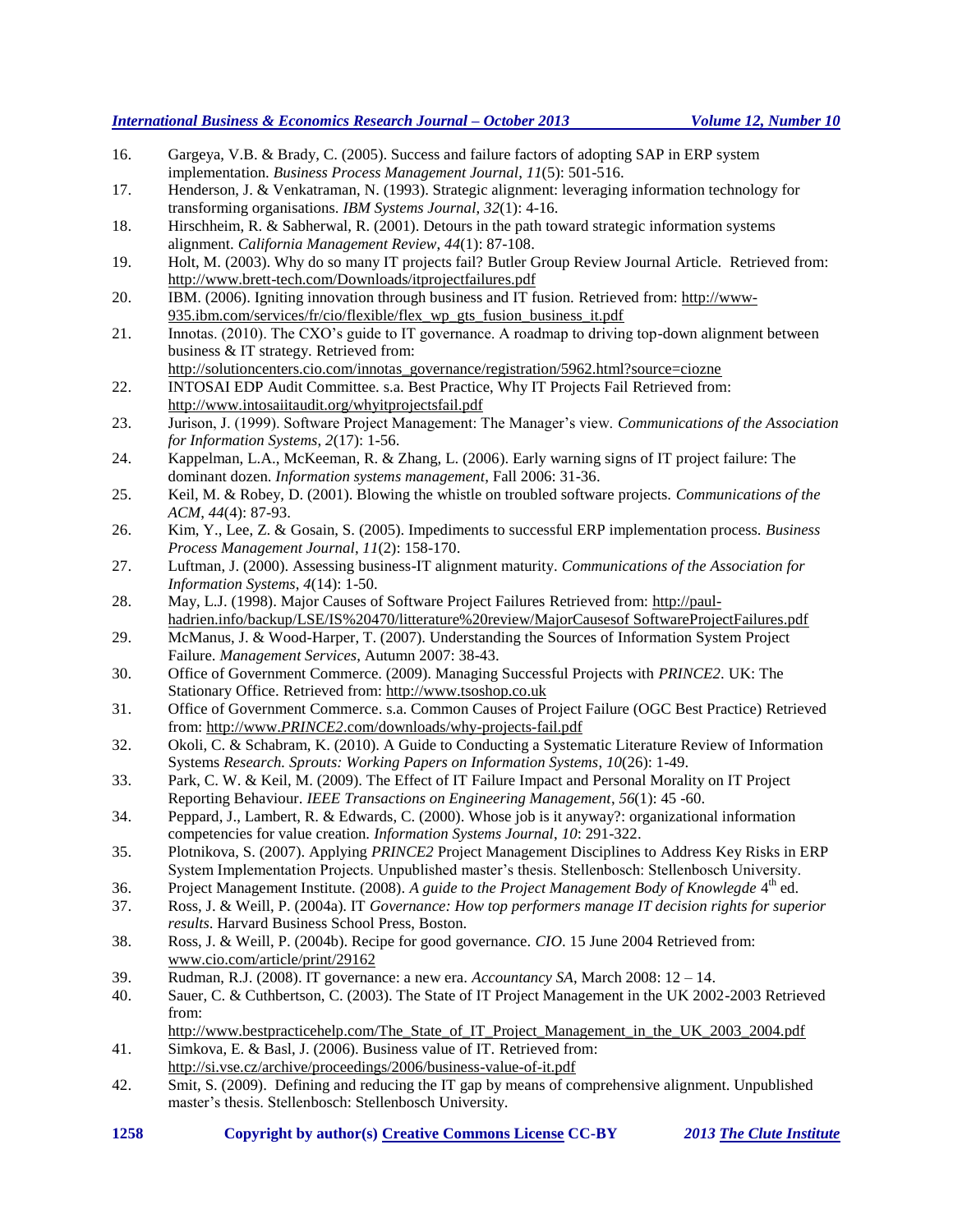- 16. Gargeya, V.B. & Brady, C. (2005). Success and failure factors of adopting SAP in ERP system implementation. *Business Process Management Journal*, *11*(5): 501-516.
- 17. Henderson, J. & Venkatraman, N. (1993). Strategic alignment: leveraging information technology for transforming organisations. *IBM Systems Journal*, *32*(1): 4-16.
- 18. Hirschheim, R. & Sabherwal, R. (2001). Detours in the path toward strategic information systems alignment. *California Management Review*, *44*(1): 87-108.
- 19. Holt, M. (2003). Why do so many IT projects fail? Butler Group Review Journal Article. Retrieved from: http://www.brett-tech.com/Downloads/itprojectfailures.pdf
- 20. IBM. (2006). Igniting innovation through business and IT fusion. Retrieved from: [http://www-](http://www-935.ibm.com/services/fr/cio/flexible/flex_wp_gts_fusion_business_it.pdf)[935.ibm.com/services/fr/cio/flexible/flex\\_wp\\_gts\\_fusion\\_business\\_it.pdf](http://www-935.ibm.com/services/fr/cio/flexible/flex_wp_gts_fusion_business_it.pdf)
- 21. Innotas. (2010). The CXO's guide to IT governance. A roadmap to driving top-down alignment between business & IT strategy. Retrieved from:
- [http://solutioncenters.cio.com/innotas\\_governance/registration/5962.html?source=ciozne](http://solutioncenters.cio.com/innotas_governance/registration/5962.html?source=ciozne) 22. INTOSAI EDP Audit Committee. s.a. Best Practice, Why IT Projects Fail Retrieved from:
- http://www.intosaiitaudit.org/whyitprojectsfail.pdf 23. Jurison, J. (1999). Software Project Management: The Manager's view. *Communications of the Association*
- *for Information Systems*, *2*(17): 1-56.
- 24. Kappelman, L.A., McKeeman, R. & Zhang, L. (2006). Early warning signs of IT project failure: The dominant dozen. *Information systems management*, Fall 2006: 31-36.
- 25. Keil, M. & Robey, D. (2001). Blowing the whistle on troubled software projects. *Communications of the ACM*, *44*(4): 87-93.
- 26. Kim, Y., Lee, Z. & Gosain, S. (2005). Impediments to successful ERP implementation process. *Business Process Management Journal*, *11*(2): 158-170.
- 27. Luftman, J. (2000). Assessing business-IT alignment maturity. *Communications of the Association for Information Systems*, *4*(14): 1-50.
- 28. May, L.J. (1998). Major Causes of Software Project Failures Retrieved from: http://paulhadrien.info/backup/LSE/IS%20470/litterature%20review/MajorCausesof SoftwareProjectFailures.pdf
- 29. McManus, J. & Wood-Harper, T. (2007). Understanding the Sources of Information System Project Failure. *Management Services*, Autumn 2007: 38-43.
- 30. Office of Government Commerce. (2009). Managing Successful Projects with *PRINCE2*. UK: The Stationary Office. Retrieved from: http://www.tsoshop.co.uk
- 31. Office of Government Commerce. s.a. Common Causes of Project Failure (OGC Best Practice) Retrieved from: http://www.*PRINCE2*.com/downloads/why-projects-fail.pdf
- 32. Okoli, C. & Schabram, K. (2010). A Guide to Conducting a Systematic Literature Review of Information Systems *Research. Sprouts: Working Papers on Information Systems*, *10*(26): 1-49.
- 33. Park, C. W. & Keil, M. (2009). The Effect of IT Failure Impact and Personal Morality on IT Project Reporting Behaviour. *IEEE Transactions on Engineering Management*, *56*(1): 45 -60.
- 34. Peppard, J., Lambert, R. & Edwards, C. (2000). Whose job is it anyway?: organizational information competencies for value creation. *Information Systems Journal*, *10*: 291-322.
- 35. Plotnikova, S. (2007). Applying *PRINCE2* Project Management Disciplines to Address Key Risks in ERP System Implementation Projects. Unpublished master's thesis. Stellenbosch: Stellenbosch University.
- 36. Project Management Institute. (2008). A guide to the Project Management Body of Knowlegde 4<sup>th</sup> ed.
- 37. Ross, J. & Weill, P. (2004a). IT *Governance: How top performers manage IT decision rights for superior results*. Harvard Business School Press, Boston.
- 38. Ross, J. & Weill, P. (2004b). Recipe for good governance. *CIO*. 15 June 2004 Retrieved from: [www.cio.com/article/print/29162](http://www.cio.com/article/print/29162)
- 39. Rudman, R.J. (2008). IT governance: a new era. *Accountancy SA*, March 2008: 12 14.
- 40. Sauer, C. & Cuthbertson, C. (2003). The State of IT Project Management in the UK 2002-2003 Retrieved from:

http://www.bestpracticehelp.com/The State of IT Project Management in the UK 2003 2004.pdf 41. Simkova, E. & Basl, J. (2006). Business value of IT. Retrieved from:

- <http://si.vse.cz/archive/proceedings/2006/business-value-of-it.pdf>
- 42. Smit, S. (2009). Defining and reducing the IT gap by means of comprehensive alignment. Unpublished master's thesis. Stellenbosch: Stellenbosch University.
- **1258 Copyright by author(s) [Creative Commons License](http://creativecommons.org/licenses/by/3.0/) CC-BY** *2013 [The Clute Institute](http://www.cluteinstitute.com/)*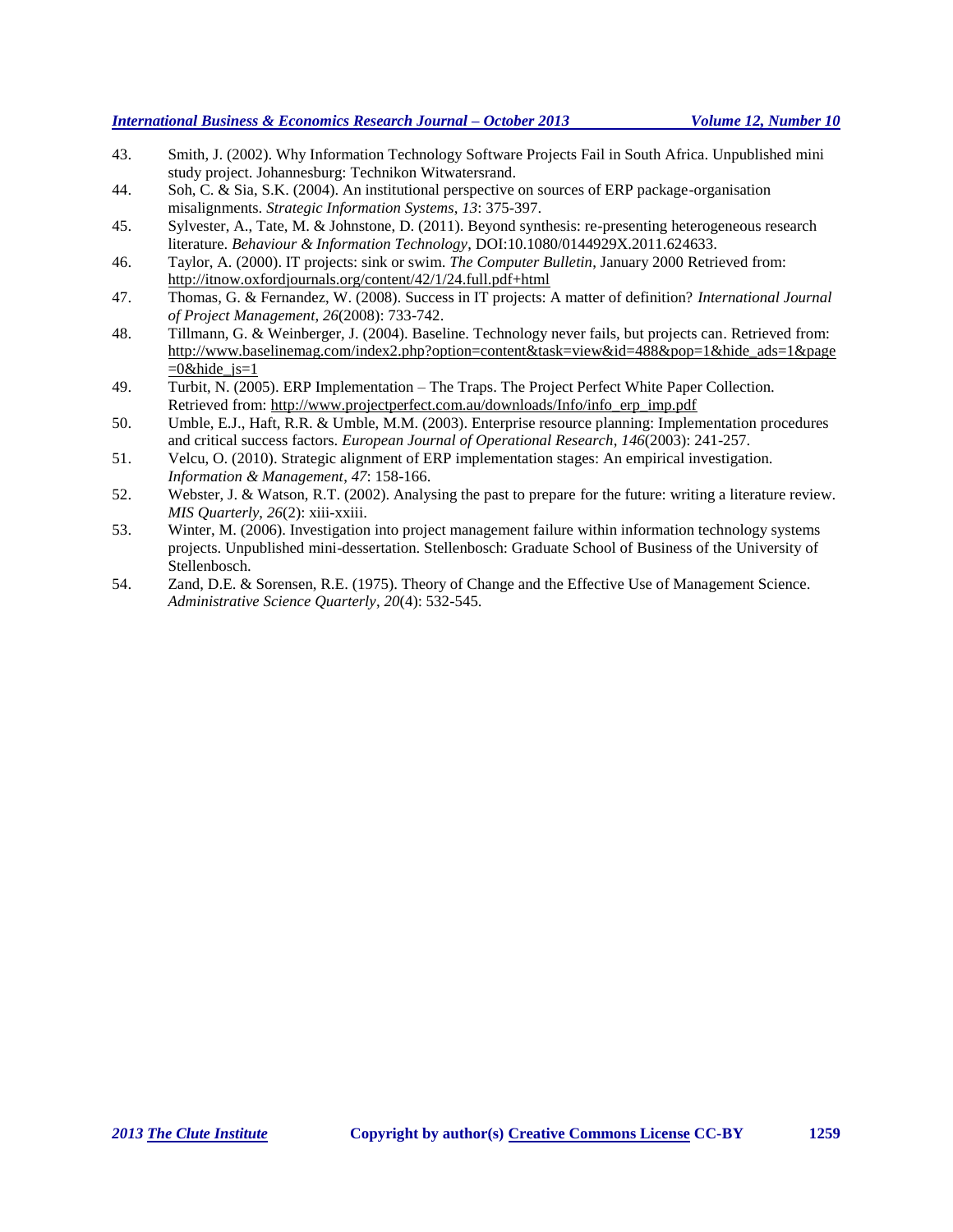- 43. Smith, J. (2002). Why Information Technology Software Projects Fail in South Africa. Unpublished mini study project. Johannesburg: Technikon Witwatersrand.
- 44. Soh, C. & Sia, S.K. (2004). An institutional perspective on sources of ERP package-organisation misalignments. *Strategic Information Systems*, *13*: 375-397.
- 45. Sylvester, A., Tate, M. & Johnstone, D. (2011). Beyond synthesis: re-presenting heterogeneous research literature. *Behaviour & Information Technology*, DOI:10.1080/0144929X.2011.624633.
- 46. Taylor, A. (2000). IT projects: sink or swim. *The Computer Bulletin*, January 2000 Retrieved from: http://itnow.oxfordjournals.org/content/42/1/24.full.pdf+html
- 47. Thomas, G. & Fernandez, W. (2008). Success in IT projects: A matter of definition? *International Journal of Project Management*, *26*(2008): 733-742.
- 48. Tillmann, G. & Weinberger, J. (2004). Baseline. Technology never fails, but projects can. Retrieved from: http://www.baselinemag.com/index2.php?option=content&task=view&id=488&pop=1&hide\_ads=1&page  $=0$ &hide js=1
- 49. Turbit, N. (2005). ERP Implementation The Traps. The Project Perfect White Paper Collection. Retrieved from: http://www.projectperfect.com.au/downloads/Info/info\_erp\_imp.pdf
- 50. Umble, E.J., Haft, R.R. & Umble, M.M. (2003). Enterprise resource planning: Implementation procedures and critical success factors. *European Journal of Operational Research*, *146*(2003): 241-257.
- 51. Velcu, O. (2010). Strategic alignment of ERP implementation stages: An empirical investigation. *Information & Management*, *47*: 158-166.
- 52. Webster, J. & Watson, R.T. (2002). Analysing the past to prepare for the future: writing a literature review. *MIS Quarterly*, *26*(2): xiii-xxiii.
- 53. Winter, M. (2006). Investigation into project management failure within information technology systems projects. Unpublished mini-dessertation. Stellenbosch: Graduate School of Business of the University of Stellenbosch.
- 54. Zand, D.E. & Sorensen, R.E. (1975). Theory of Change and the Effective Use of Management Science. *Administrative Science Quarterly*, *20*(4): 532-545.